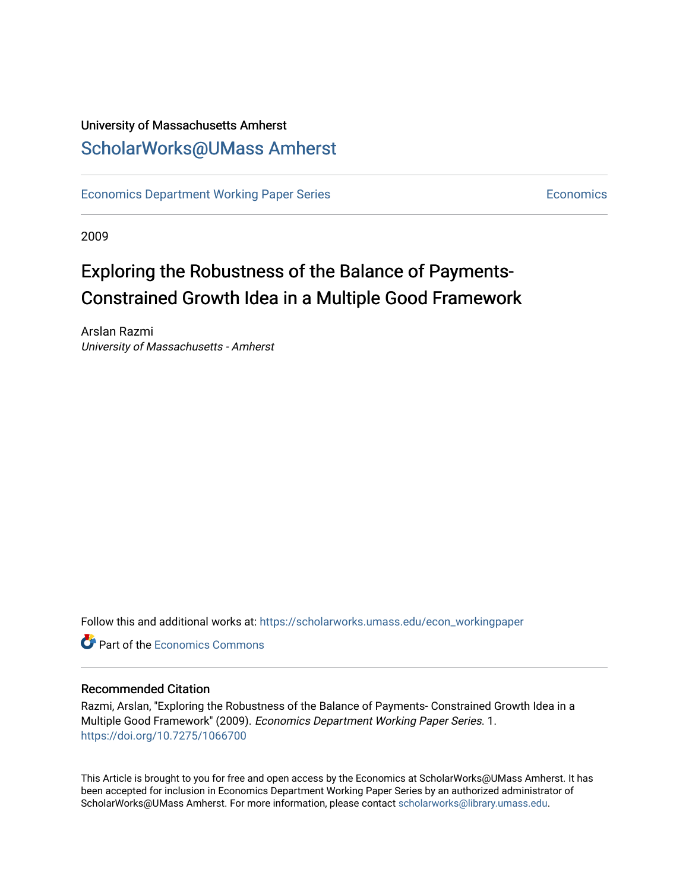# University of Massachusetts Amherst [ScholarWorks@UMass Amherst](https://scholarworks.umass.edu/)

[Economics Department Working Paper Series](https://scholarworks.umass.edu/econ_workingpaper) **Economics** [Economics](https://scholarworks.umass.edu/economics) Economics

2009

# Exploring the Robustness of the Balance of Payments-Constrained Growth Idea in a Multiple Good Framework

Arslan Razmi University of Massachusetts - Amherst

Follow this and additional works at: [https://scholarworks.umass.edu/econ\\_workingpaper](https://scholarworks.umass.edu/econ_workingpaper?utm_source=scholarworks.umass.edu%2Fecon_workingpaper%2F1&utm_medium=PDF&utm_campaign=PDFCoverPages) 

**C**<sup> $\bullet$ </sup> Part of the [Economics Commons](http://network.bepress.com/hgg/discipline/340?utm_source=scholarworks.umass.edu%2Fecon_workingpaper%2F1&utm_medium=PDF&utm_campaign=PDFCoverPages)

#### Recommended Citation

Razmi, Arslan, "Exploring the Robustness of the Balance of Payments- Constrained Growth Idea in a Multiple Good Framework" (2009). Economics Department Working Paper Series. 1. <https://doi.org/10.7275/1066700>

This Article is brought to you for free and open access by the Economics at ScholarWorks@UMass Amherst. It has been accepted for inclusion in Economics Department Working Paper Series by an authorized administrator of ScholarWorks@UMass Amherst. For more information, please contact [scholarworks@library.umass.edu.](mailto:scholarworks@library.umass.edu)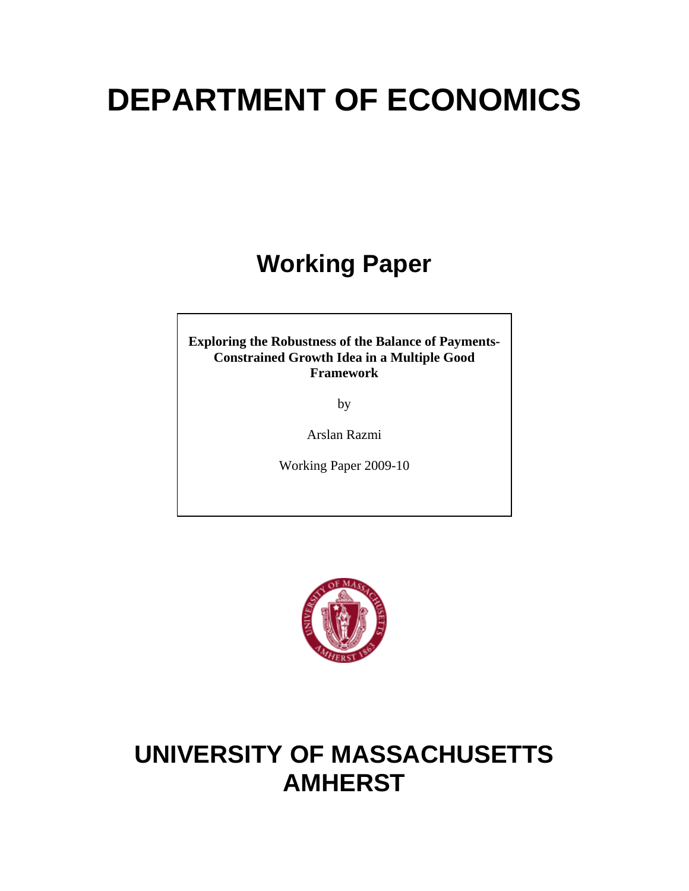# **DEPARTMENT OF ECONOMICS**

# **Working Paper**

**Exploring the Robustness of the Balance of Payments-Constrained Growth Idea in a Multiple Good Framework** 

by

Arslan Razmi

Working Paper 2009-10



# **UNIVERSITY OF MASSACHUSETTS AMHERST**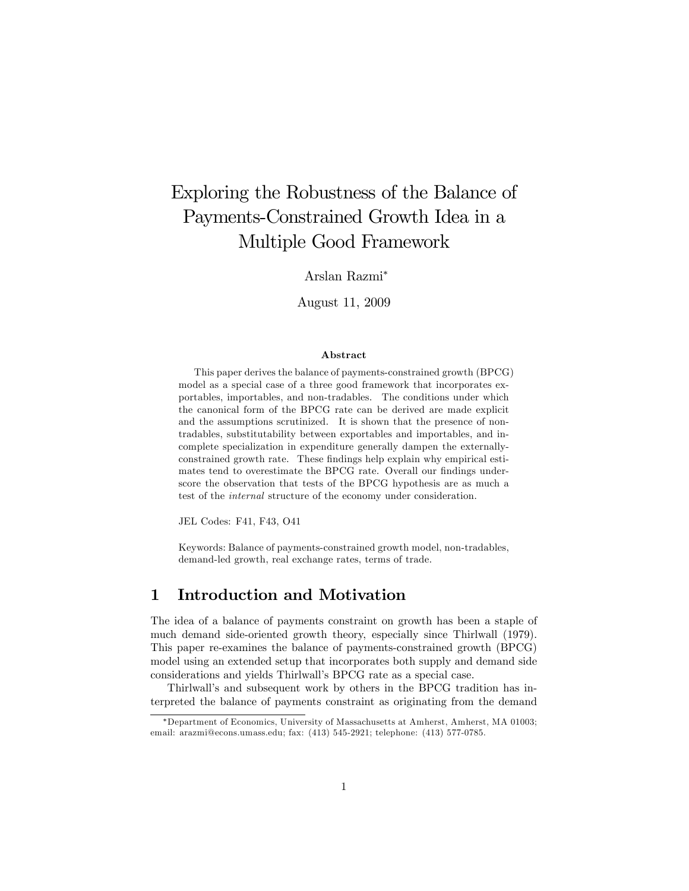# Exploring the Robustness of the Balance of Payments-Constrained Growth Idea in a Multiple Good Framework

Arslan Razmi

August 11, 2009

#### Abstract

This paper derives the balance of payments-constrained growth (BPCG) model as a special case of a three good framework that incorporates exportables, importables, and non-tradables. The conditions under which the canonical form of the BPCG rate can be derived are made explicit and the assumptions scrutinized. It is shown that the presence of nontradables, substitutability between exportables and importables, and incomplete specialization in expenditure generally dampen the externallyconstrained growth rate. These findings help explain why empirical estimates tend to overestimate the BPCG rate. Overall our findings underscore the observation that tests of the BPCG hypothesis are as much a test of the internal structure of the economy under consideration.

JEL Codes: F41, F43, O41

Keywords: Balance of payments-constrained growth model, non-tradables, demand-led growth, real exchange rates, terms of trade.

#### 1 Introduction and Motivation

The idea of a balance of payments constraint on growth has been a staple of much demand side-oriented growth theory, especially since Thirlwall (1979). This paper re-examines the balance of payments-constrained growth (BPCG) model using an extended setup that incorporates both supply and demand side considerations and yields Thirlwall's BPCG rate as a special case.

Thirlwall's and subsequent work by others in the BPCG tradition has interpreted the balance of payments constraint as originating from the demand

Department of Economics, University of Massachusetts at Amherst, Amherst, MA 01003; email: arazmi@econs.umass.edu; fax: (413) 545-2921; telephone: (413) 577-0785.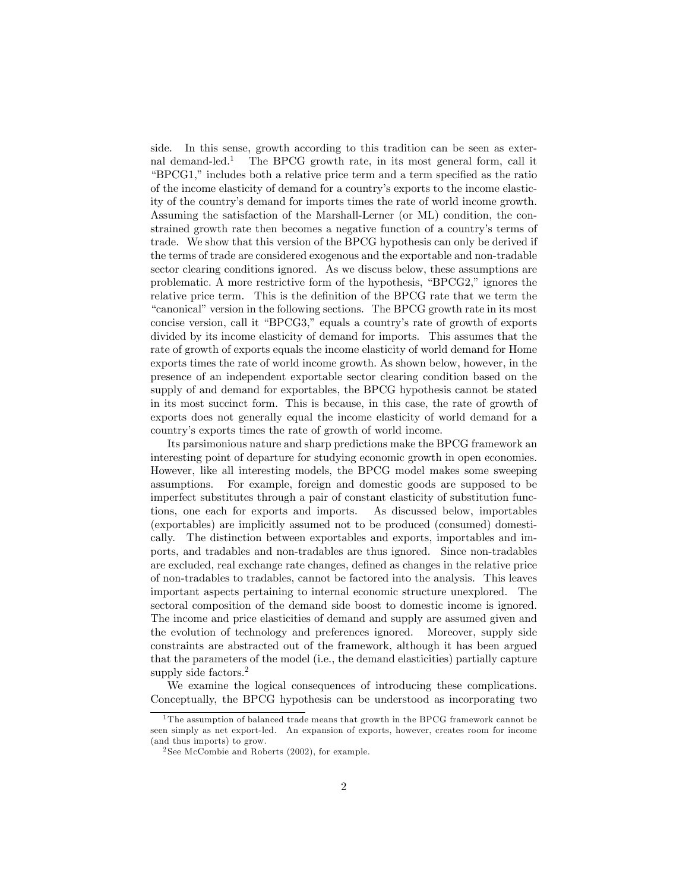side. In this sense, growth according to this tradition can be seen as external demand-led.<sup>1</sup> The BPCG growth rate, in its most general form, call it "BPCG1," includes both a relative price term and a term specified as the ratio of the income elasticity of demand for a countryís exports to the income elasticity of the countryís demand for imports times the rate of world income growth. Assuming the satisfaction of the Marshall-Lerner (or ML) condition, the constrained growth rate then becomes a negative function of a country's terms of trade. We show that this version of the BPCG hypothesis can only be derived if the terms of trade are considered exogenous and the exportable and non-tradable sector clearing conditions ignored. As we discuss below, these assumptions are problematic. A more restrictive form of the hypothesis,  $\mathrm{``BPCG2,''}$  ignores the relative price term. This is the definition of the BPCG rate that we term the "canonical" version in the following sections. The BPCG growth rate in its most concise version, call it "BPCG3," equals a country's rate of growth of exports divided by its income elasticity of demand for imports. This assumes that the rate of growth of exports equals the income elasticity of world demand for Home exports times the rate of world income growth. As shown below, however, in the presence of an independent exportable sector clearing condition based on the supply of and demand for exportables, the BPCG hypothesis cannot be stated in its most succinct form. This is because, in this case, the rate of growth of exports does not generally equal the income elasticity of world demand for a countryís exports times the rate of growth of world income.

Its parsimonious nature and sharp predictions make the BPCG framework an interesting point of departure for studying economic growth in open economies. However, like all interesting models, the BPCG model makes some sweeping assumptions. For example, foreign and domestic goods are supposed to be imperfect substitutes through a pair of constant elasticity of substitution functions, one each for exports and imports. As discussed below, importables (exportables) are implicitly assumed not to be produced (consumed) domestically. The distinction between exportables and exports, importables and imports, and tradables and non-tradables are thus ignored. Since non-tradables are excluded, real exchange rate changes, defined as changes in the relative price of non-tradables to tradables, cannot be factored into the analysis. This leaves important aspects pertaining to internal economic structure unexplored. The sectoral composition of the demand side boost to domestic income is ignored. The income and price elasticities of demand and supply are assumed given and the evolution of technology and preferences ignored. Moreover, supply side constraints are abstracted out of the framework, although it has been argued that the parameters of the model (i.e., the demand elasticities) partially capture supply side factors.<sup>2</sup>

We examine the logical consequences of introducing these complications. Conceptually, the BPCG hypothesis can be understood as incorporating two

 $1$ <sup>1</sup>The assumption of balanced trade means that growth in the BPCG framework cannot be seen simply as net export-led. An expansion of exports, however, creates room for income (and thus imports) to grow.

<sup>2</sup> See McCombie and Roberts (2002), for example.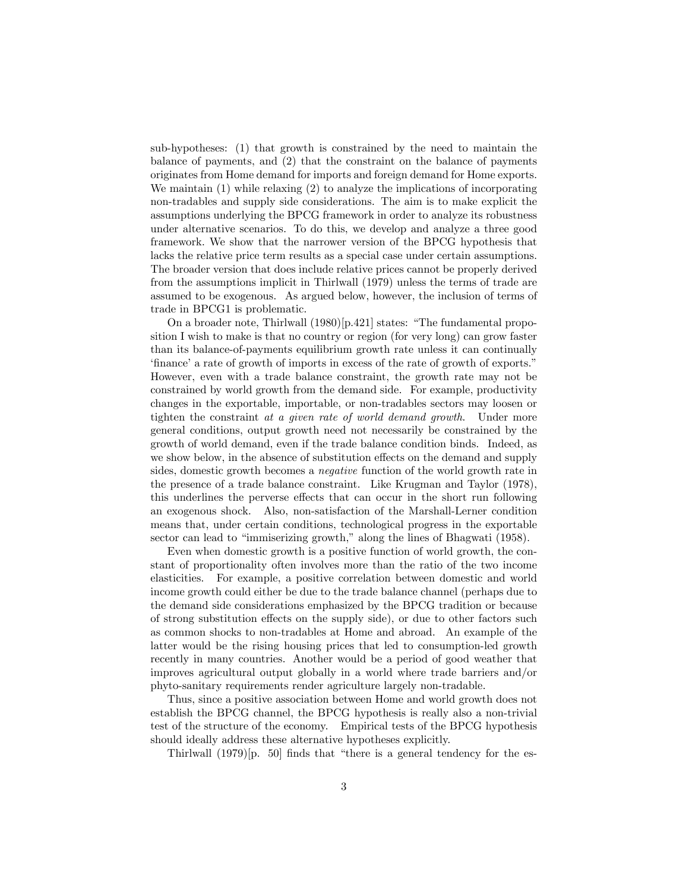sub-hypotheses: (1) that growth is constrained by the need to maintain the balance of payments, and (2) that the constraint on the balance of payments originates from Home demand for imports and foreign demand for Home exports. We maintain (1) while relaxing (2) to analyze the implications of incorporating non-tradables and supply side considerations. The aim is to make explicit the assumptions underlying the BPCG framework in order to analyze its robustness under alternative scenarios. To do this, we develop and analyze a three good framework. We show that the narrower version of the BPCG hypothesis that lacks the relative price term results as a special case under certain assumptions. The broader version that does include relative prices cannot be properly derived from the assumptions implicit in Thirlwall (1979) unless the terms of trade are assumed to be exogenous. As argued below, however, the inclusion of terms of trade in BPCG1 is problematic.

On a broader note, Thirlwall  $(1980)[p.421]$  states: "The fundamental proposition I wish to make is that no country or region (for very long) can grow faster than its balance-of-payments equilibrium growth rate unless it can continually finance' a rate of growth of imports in excess of the rate of growth of exports.<sup>"</sup> However, even with a trade balance constraint, the growth rate may not be constrained by world growth from the demand side. For example, productivity changes in the exportable, importable, or non-tradables sectors may loosen or tighten the constraint at a given rate of world demand growth. Under more general conditions, output growth need not necessarily be constrained by the growth of world demand, even if the trade balance condition binds. Indeed, as we show below, in the absence of substitution effects on the demand and supply sides, domestic growth becomes a negative function of the world growth rate in the presence of a trade balance constraint. Like Krugman and Taylor (1978), this underlines the perverse effects that can occur in the short run following an exogenous shock. Also, non-satisfaction of the Marshall-Lerner condition means that, under certain conditions, technological progress in the exportable sector can lead to "immiserizing growth," along the lines of Bhagwati (1958).

Even when domestic growth is a positive function of world growth, the constant of proportionality often involves more than the ratio of the two income elasticities. For example, a positive correlation between domestic and world income growth could either be due to the trade balance channel (perhaps due to the demand side considerations emphasized by the BPCG tradition or because of strong substitution effects on the supply side), or due to other factors such as common shocks to non-tradables at Home and abroad. An example of the latter would be the rising housing prices that led to consumption-led growth recently in many countries. Another would be a period of good weather that improves agricultural output globally in a world where trade barriers and/or phyto-sanitary requirements render agriculture largely non-tradable.

Thus, since a positive association between Home and world growth does not establish the BPCG channel, the BPCG hypothesis is really also a non-trivial test of the structure of the economy. Empirical tests of the BPCG hypothesis should ideally address these alternative hypotheses explicitly.

Thirlwall  $(1979)$ [p. 50] finds that "there is a general tendency for the es-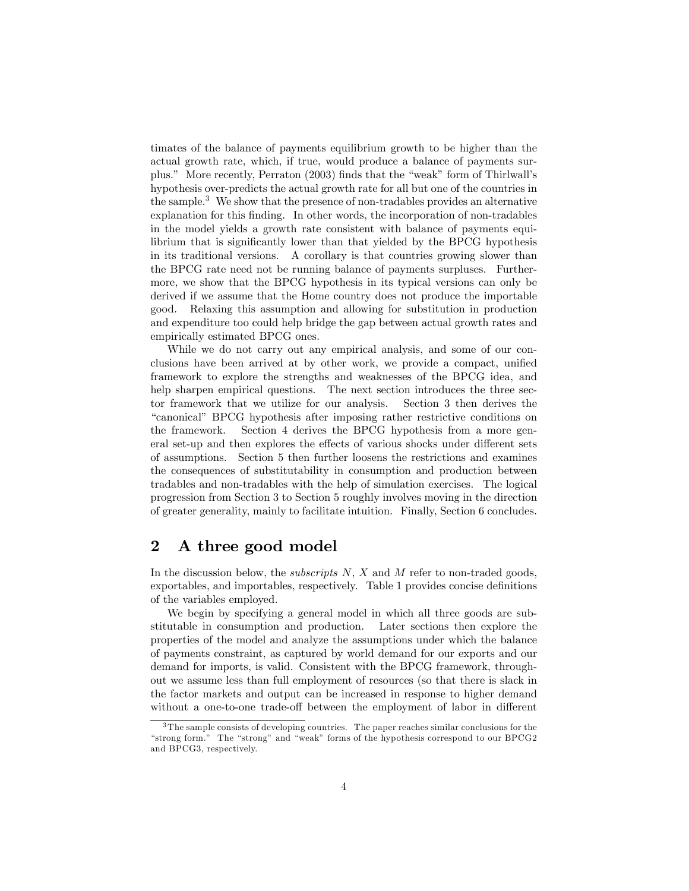timates of the balance of payments equilibrium growth to be higher than the actual growth rate, which, if true, would produce a balance of payments surplus." More recently, Perraton  $(2003)$  finds that the "weak" form of Thirlwall's hypothesis over-predicts the actual growth rate for all but one of the countries in the sample.<sup>3</sup> We show that the presence of non-tradables provides an alternative explanation for this finding. In other words, the incorporation of non-tradables in the model yields a growth rate consistent with balance of payments equilibrium that is significantly lower than that yielded by the BPCG hypothesis in its traditional versions. A corollary is that countries growing slower than the BPCG rate need not be running balance of payments surpluses. Furthermore, we show that the BPCG hypothesis in its typical versions can only be derived if we assume that the Home country does not produce the importable good. Relaxing this assumption and allowing for substitution in production and expenditure too could help bridge the gap between actual growth rates and empirically estimated BPCG ones.

While we do not carry out any empirical analysis, and some of our conclusions have been arrived at by other work, we provide a compact, unified framework to explore the strengths and weaknesses of the BPCG idea, and help sharpen empirical questions. The next section introduces the three sector framework that we utilize for our analysis. Section 3 then derives the ìcanonicalî BPCG hypothesis after imposing rather restrictive conditions on the framework. Section 4 derives the BPCG hypothesis from a more general set-up and then explores the effects of various shocks under different sets of assumptions. Section 5 then further loosens the restrictions and examines the consequences of substitutability in consumption and production between tradables and non-tradables with the help of simulation exercises. The logical progression from Section 3 to Section 5 roughly involves moving in the direction of greater generality, mainly to facilitate intuition. Finally, Section 6 concludes.

#### 2 A three good model

In the discussion below, the *subscripts*  $N$ ,  $X$  and  $M$  refer to non-traded goods, exportables, and importables, respectively. Table 1 provides concise definitions of the variables employed.

We begin by specifying a general model in which all three goods are substitutable in consumption and production. Later sections then explore the properties of the model and analyze the assumptions under which the balance of payments constraint, as captured by world demand for our exports and our demand for imports, is valid. Consistent with the BPCG framework, throughout we assume less than full employment of resources (so that there is slack in the factor markets and output can be increased in response to higher demand without a one-to-one trade-off between the employment of labor in different

<sup>&</sup>lt;sup>3</sup>The sample consists of developing countries. The paper reaches similar conclusions for the "strong form." The "strong" and "weak" forms of the hypothesis correspond to our BPCG2 and BPCG3, respectively.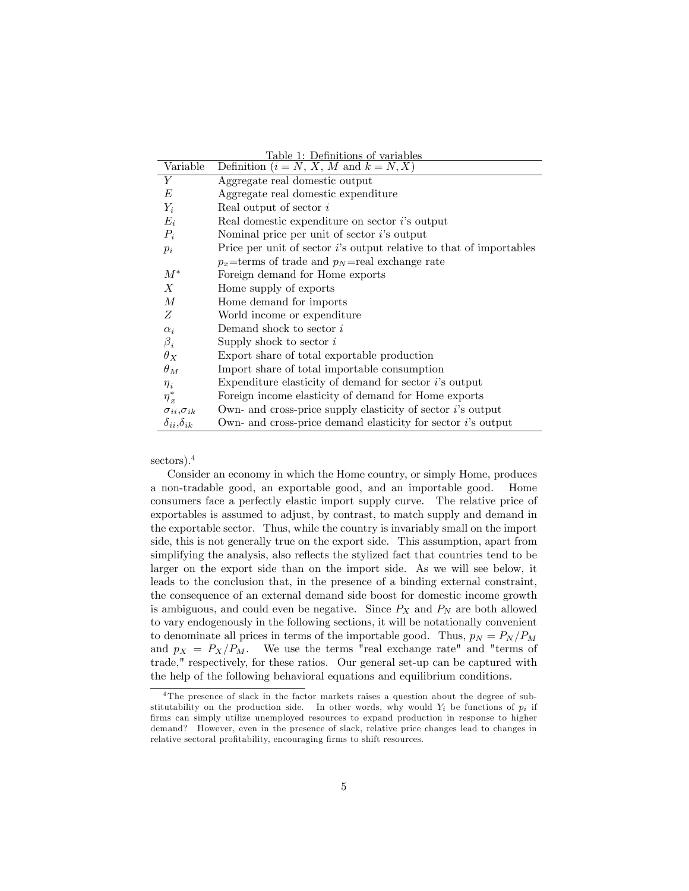|                            | Table 1: Definitions of variables                                      |
|----------------------------|------------------------------------------------------------------------|
| Variable                   | Definition $(i = N, X, M$ and $k = N, X$ )                             |
| Y                          | Aggregate real domestic output                                         |
| E                          | Aggregate real domestic expenditure                                    |
| $Y_i$                      | Real output of sector i                                                |
| $E_i$                      | Real domestic expenditure on sector i's output                         |
| $P_i$                      | Nominal price per unit of sector $i$ 's output                         |
| $p_i$                      | Price per unit of sector $i$ 's output relative to that of importables |
|                            | $p_x$ =terms of trade and $p_N$ =real exchange rate                    |
| $M^*$                      | Foreign demand for Home exports                                        |
| $\boldsymbol{X}$           | Home supply of exports                                                 |
| $\overline{M}$             | Home demand for imports                                                |
| Z                          | World income or expenditure                                            |
| $\alpha_i$                 | Demand shock to sector i                                               |
| $\beta_i$                  | Supply shock to sector $i$                                             |
| $\theta_X$                 | Export share of total exportable production                            |
| $\theta_M$                 | Import share of total importable consumption                           |
| $\eta_i$                   | Expenditure elasticity of demand for sector $i$ 's output              |
| $\eta_z^*$                 | Foreign income elasticity of demand for Home exports                   |
| $\sigma_{ii}, \sigma_{ik}$ | Own- and cross-price supply elasticity of sector $i$ 's output         |
| $\delta_{ii}, \delta_{ik}$ | Own- and cross-price demand elasticity for sector $i$ 's output        |

sectors).<sup>4</sup>

Consider an economy in which the Home country, or simply Home, produces a non-tradable good, an exportable good, and an importable good. Home consumers face a perfectly elastic import supply curve. The relative price of exportables is assumed to adjust, by contrast, to match supply and demand in the exportable sector. Thus, while the country is invariably small on the import side, this is not generally true on the export side. This assumption, apart from simplifying the analysis, also reflects the stylized fact that countries tend to be larger on the export side than on the import side. As we will see below, it leads to the conclusion that, in the presence of a binding external constraint, the consequence of an external demand side boost for domestic income growth is ambiguous, and could even be negative. Since  $P_X$  and  $P_N$  are both allowed to vary endogenously in the following sections, it will be notationally convenient to denominate all prices in terms of the importable good. Thus,  $p_N = P_N / P_M$ and  $p_X = P_X/P_M$ . We use the terms "real exchange rate" and "terms of trade," respectively, for these ratios. Our general set-up can be captured with the help of the following behavioral equations and equilibrium conditions.

<sup>&</sup>lt;sup>4</sup>The presence of slack in the factor markets raises a question about the degree of substitutability on the production side. In other words, why would  $Y_i$  be functions of  $p_i$  if firms can simply utilize unemployed resources to expand production in response to higher demand? However, even in the presence of slack, relative price changes lead to changes in relative sectoral profitability, encouraging firms to shift resources.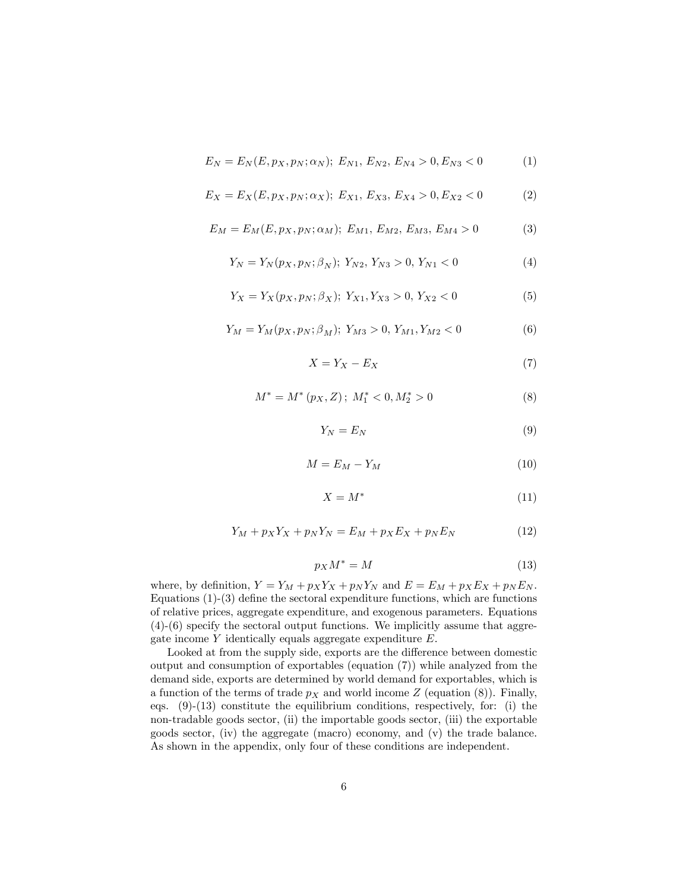$$
E_N = E_N(E, p_X, p_N; \alpha_N); \ E_{N1}, \ E_{N2}, \ E_{N4} > 0, E_{N3} < 0 \tag{1}
$$

$$
E_X = E_X(E, p_X, p_N; \alpha_X); \ E_{X1}, \ E_{X3}, \ E_{X4} > 0, \ E_{X2} < 0 \tag{2}
$$

$$
E_M = E_M(E, p_X, p_N; \alpha_M); \ E_{M1}, \ E_{M2}, \ E_{M3}, \ E_{M4} > 0 \tag{3}
$$

$$
Y_N = Y_N(p_X, p_N; \beta_N); \ Y_{N2}, \ Y_{N3} > 0, \ Y_{N1} < 0 \tag{4}
$$

$$
Y_X = Y_X(p_X, p_N; \beta_X); \ Y_{X1}, Y_{X3} > 0, \ Y_{X2} < 0 \tag{5}
$$

$$
Y_M = Y_M(p_X, p_N; \beta_M); \ Y_{M3} > 0, \ Y_{M1}, Y_{M2} < 0 \tag{6}
$$

$$
X = Y_X - E_X \tag{7}
$$

$$
M^* = M^*(p_X, Z); M_1^* < 0, M_2^* > 0
$$
 (8)

$$
Y_N = E_N \tag{9}
$$

$$
M = E_M - Y_M \tag{10}
$$

$$
X = M^* \tag{11}
$$

$$
Y_M + p_X Y_X + p_N Y_N = E_M + p_X E_X + p_N E_N \tag{12}
$$

$$
p_X M^* = M \tag{13}
$$

where, by definition,  $Y = Y_M + p_X Y_X + p_N Y_N$  and  $E = E_M + p_X E_X + p_N E_N$ . Equations  $(1)-(3)$  define the sectoral expenditure functions, which are functions of relative prices, aggregate expenditure, and exogenous parameters. Equations (4)-(6) specify the sectoral output functions. We implicitly assume that aggregate income Y identically equals aggregate expenditure E.

Looked at from the supply side, exports are the difference between domestic output and consumption of exportables (equation (7)) while analyzed from the demand side, exports are determined by world demand for exportables, which is a function of the terms of trade  $p<sub>X</sub>$  and world income Z (equation (8)). Finally, eqs. (9)-(13) constitute the equilibrium conditions, respectively, for: (i) the non-tradable goods sector, (ii) the importable goods sector, (iii) the exportable goods sector, (iv) the aggregate (macro) economy, and  $(v)$  the trade balance. As shown in the appendix, only four of these conditions are independent.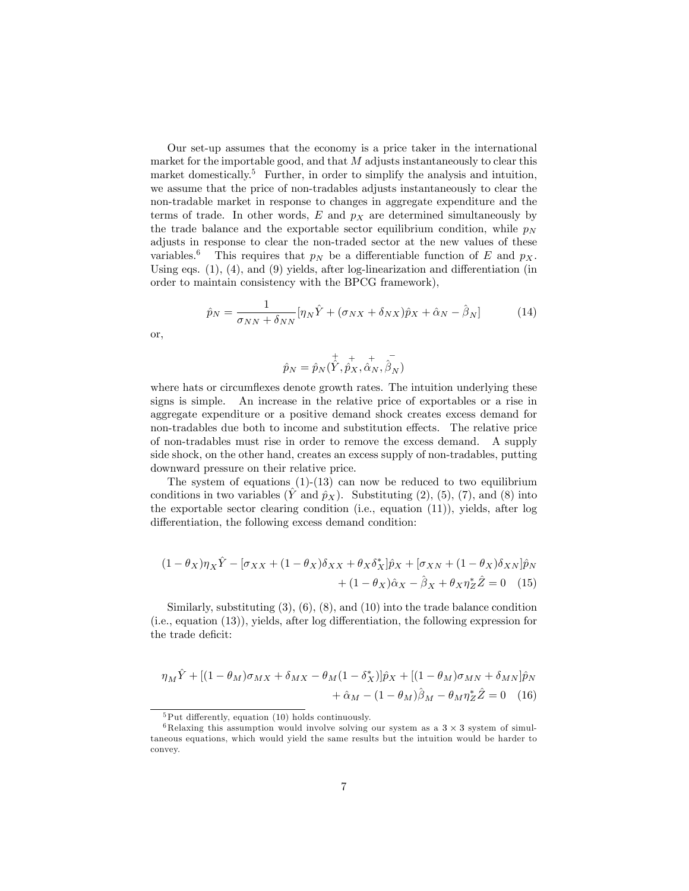Our set-up assumes that the economy is a price taker in the international market for the importable good, and that  $M$  adjusts instantaneously to clear this market domestically.<sup>5</sup> Further, in order to simplify the analysis and intuition, we assume that the price of non-tradables adjusts instantaneously to clear the non-tradable market in response to changes in aggregate expenditure and the terms of trade. In other words,  $E$  and  $p<sub>X</sub>$  are determined simultaneously by the trade balance and the exportable sector equilibrium condition, while  $p_N$ adjusts in response to clear the non-traded sector at the new values of these variables.<sup>6</sup> This requires that  $p_N$  be a differentiable function of E and  $p_X$ . Using eqs.  $(1)$ ,  $(4)$ , and  $(9)$  yields, after log-linearization and differentiation (in order to maintain consistency with the BPCG framework),

$$
\hat{p}_N = \frac{1}{\sigma_{NN} + \delta_{NN}} [\eta_N \hat{Y} + (\sigma_{NX} + \delta_{NX}) \hat{p}_X + \hat{\alpha}_N - \hat{\beta}_N]
$$
(14)

or,

$$
\hat{p}_N = \hat{p}_N(\hat{\hat{Y}}, \hat{\hat{p}_X}, \hat{\hat{\alpha}}_N, \hat{\hat{\beta}}_N)
$$

where hats or circumflexes denote growth rates. The intuition underlying these signs is simple. An increase in the relative price of exportables or a rise in aggregate expenditure or a positive demand shock creates excess demand for non-tradables due both to income and substitution effects. The relative price of non-tradables must rise in order to remove the excess demand. A supply side shock, on the other hand, creates an excess supply of non-tradables, putting downward pressure on their relative price.

The system of equations  $(1)-(13)$  can now be reduced to two equilibrium conditions in two variables  $(\tilde{Y}$  and  $\hat{p}_X$ ). Substituting (2), (5), (7), and (8) into the exportable sector clearing condition (i.e., equation (11)), yields, after log differentiation, the following excess demand condition:

$$
(1 - \theta_X)\eta_X \hat{Y} - [\sigma_{XX} + (1 - \theta_X)\delta_{XX} + \theta_X \delta_X^*]\hat{p}_X + [\sigma_{XN} + (1 - \theta_X)\delta_{XN}]\hat{p}_N
$$

$$
+ (1 - \theta_X)\hat{\alpha}_X - \hat{\beta}_X + \theta_X \eta_Z^* \hat{Z} = 0 \quad (15)
$$

Similarly, substituting (3), (6), (8), and (10) into the trade balance condition  $(i.e., equation (13)), yields, after log differentiation, the following expression for$ the trade deficit:

$$
\eta_M \hat{Y} + [(1 - \theta_M)\sigma_{MX} + \delta_{MX} - \theta_M(1 - \delta_X^*)]\hat{p}_X + [(1 - \theta_M)\sigma_{MN} + \delta_{MN}]\hat{p}_N
$$

$$
+ \hat{\alpha}_M - (1 - \theta_M)\hat{\beta}_M - \theta_M\eta_Z^*\hat{Z} = 0 \quad (16)
$$

 $5$ Put differently, equation (10) holds continuously.

 ${}^6$ Relaxing this assumption would involve solving our system as a  $3 \times 3$  system of simultaneous equations, which would yield the same results but the intuition would be harder to convey.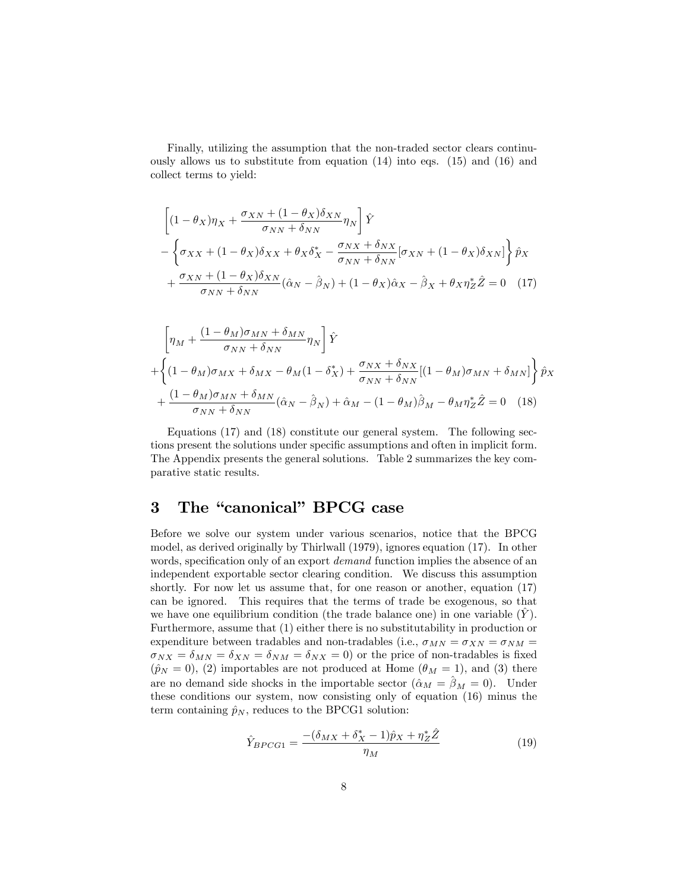Finally, utilizing the assumption that the non-traded sector clears continuously allows us to substitute from equation (14) into eqs. (15) and (16) and collect terms to yield:

$$
\left[ (1 - \theta_X) \eta_X + \frac{\sigma_{XN} + (1 - \theta_X) \delta_{XN}}{\sigma_{NN} + \delta_{NN}} \eta_N \right] \hat{Y} - \left\{ \sigma_{XX} + (1 - \theta_X) \delta_{XX} + \theta_X \delta_X^* - \frac{\sigma_{NX} + \delta_{NX}}{\sigma_{NN} + \delta_{NN}} [\sigma_{XN} + (1 - \theta_X) \delta_{XN}] \right\} \hat{p}_X + \frac{\sigma_{XN} + (1 - \theta_X) \delta_{XN}}{\sigma_{NN} + \delta_{NN}} (\hat{\alpha}_N - \hat{\beta}_N) + (1 - \theta_X) \hat{\alpha}_X - \hat{\beta}_X + \theta_X \eta_Z^* \hat{Z} = 0 \quad (17)
$$

$$
\left[\eta_M + \frac{(1 - \theta_M)\sigma_{MN} + \delta_{MN}}{\sigma_{NN} + \delta_{NN}} \eta_N\right] \hat{Y} + \left\{ (1 - \theta_M)\sigma_{MX} + \delta_{MX} - \theta_M(1 - \delta_X^*) + \frac{\sigma_{NX} + \delta_{NX}}{\sigma_{NN} + \delta_{NN}} [(1 - \theta_M)\sigma_{MN} + \delta_{MN}] \right\} \hat{p}_X + \frac{(1 - \theta_M)\sigma_{MN} + \delta_{MN}}{\sigma_{NN} + \delta_{NN}} (\hat{\alpha}_N - \hat{\beta}_N) + \hat{\alpha}_M - (1 - \theta_M)\hat{\beta}_M - \theta_M \eta_Z^* \hat{Z} = 0 \quad (18)
$$

Equations (17) and (18) constitute our general system. The following sections present the solutions under specific assumptions and often in implicit form. The Appendix presents the general solutions. Table 2 summarizes the key comparative static results.

### 3 The "canonical" BPCG case

Before we solve our system under various scenarios, notice that the BPCG model, as derived originally by Thirlwall (1979), ignores equation (17). In other words, specification only of an export *demand* function implies the absence of an independent exportable sector clearing condition. We discuss this assumption shortly. For now let us assume that, for one reason or another, equation (17) can be ignored. This requires that the terms of trade be exogenous, so that we have one equilibrium condition (the trade balance one) in one variable  $(Y)$ . Furthermore, assume that (1) either there is no substitutability in production or expenditure between tradables and non-tradables (i.e.,  $\sigma_{MN} = \sigma_{XN} = \sigma_{NM} =$  $\sigma_{NX} = \delta_{MN} = \delta_{XN} = \delta_{NM} = \delta_{NX} = 0$  or the price of non-tradables is fixed  $(\hat{p}_N = 0)$ , (2) importables are not produced at Home ( $\theta_M = 1$ ), and (3) there are no demand side shocks in the importable sector  $(\hat{\alpha}_M = \hat{\beta}_M = 0)$ . Under these conditions our system, now consisting only of equation (16) minus the term containing  $\hat{p}_N$ , reduces to the BPCG1 solution:

$$
\hat{Y}_{BPCG1} = \frac{- (\delta_{MX} + \delta_X^* - 1)\hat{p}_X + \eta_Z^* \hat{Z}}{\eta_M} \tag{19}
$$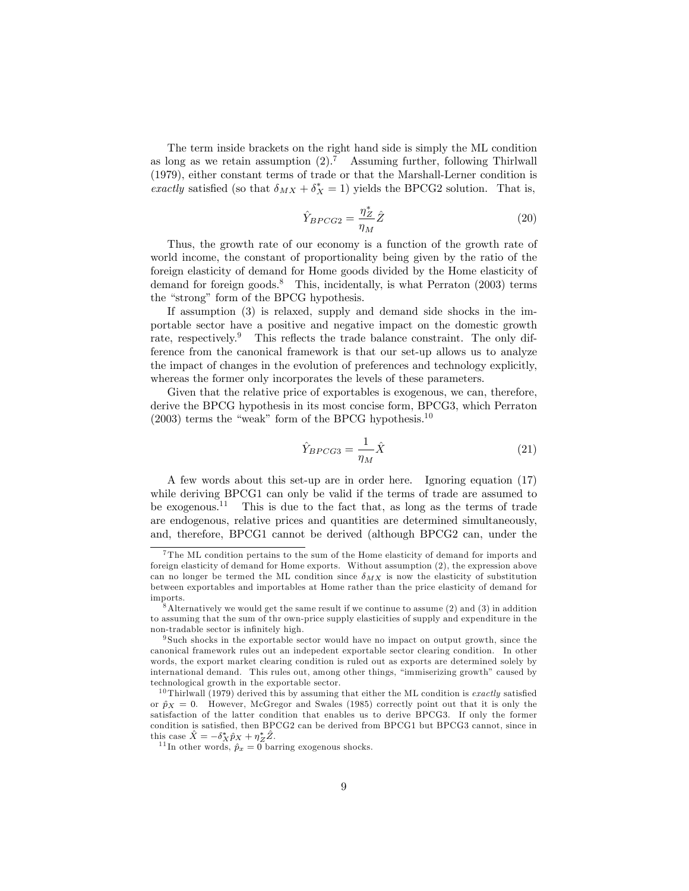The term inside brackets on the right hand side is simply the ML condition as long as we retain assumption  $(2)$ .<sup>7</sup> Assuming further, following Thirlwall (1979), either constant terms of trade or that the Marshall-Lerner condition is exactly satisfied (so that  $\delta_{MX} + \delta_X^* = 1$ ) yields the BPCG2 solution. That is,

$$
\hat{Y}_{BPCG2} = \frac{\eta_Z^*}{\eta_M} \hat{Z}
$$
\n(20)

Thus, the growth rate of our economy is a function of the growth rate of world income, the constant of proportionality being given by the ratio of the foreign elasticity of demand for Home goods divided by the Home elasticity of demand for foreign goods.<sup>8</sup> This, incidentally, is what Perraton  $(2003)$  terms the "strong" form of the BPCG hypothesis.

If assumption (3) is relaxed, supply and demand side shocks in the importable sector have a positive and negative impact on the domestic growth rate, respectively.<sup>9</sup> This reflects the trade balance constraint. The only difference from the canonical framework is that our set-up allows us to analyze the impact of changes in the evolution of preferences and technology explicitly, whereas the former only incorporates the levels of these parameters.

Given that the relative price of exportables is exogenous, we can, therefore, derive the BPCG hypothesis in its most concise form, BPCG3, which Perraton  $(2003)$  terms the "weak" form of the BPCG hypothesis.<sup>10</sup>

$$
\hat{Y}_{BPCG3} = \frac{1}{\eta_M} \hat{X}
$$
\n(21)

A few words about this set-up are in order here. Ignoring equation (17) while deriving BPCG1 can only be valid if the terms of trade are assumed to be exogenous.<sup>11</sup> This is due to the fact that, as long as the terms of trade are endogenous, relative prices and quantities are determined simultaneously, and, therefore, BPCG1 cannot be derived (although BPCG2 can, under the

<sup>&</sup>lt;sup>7</sup>The ML condition pertains to the sum of the Home elasticity of demand for imports and foreign elasticity of demand for Home exports. Without assumption (2), the expression above can no longer be termed the ML condition since  $\delta_{MX}$  is now the elasticity of substitution between exportables and importables at Home rather than the price elasticity of demand for imports.

 $8$ Alternatively we would get the same result if we continue to assume  $(2)$  and  $(3)$  in addition to assuming that the sum of thr own-price supply elasticities of supply and expenditure in the non-tradable sector is infinitely high.

<sup>9</sup> Such shocks in the exportable sector would have no impact on output growth, since the canonical framework rules out an indepedent exportable sector clearing condition. In other words, the export market clearing condition is ruled out as exports are determined solely by international demand. This rules out, among other things, "immiserizing growth" caused by technological growth in the exportable sector.

<sup>&</sup>lt;sup>10</sup> Thirlwall (1979) derived this by assuming that either the ML condition is *exactly* satisfied or  $\hat{p}_X = 0$ . However, McGregor and Swales (1985) correctly point out that it is only the satisfaction of the latter condition that enables us to derive BPCG3. If only the former condition is satisfied, then BPCG2 can be derived from BPCG1 but BPCG3 cannot, since in this case  $\hat{X} = -\delta_X^* \hat{p}_X + \eta_Z^* \hat{Z}$ .

<sup>&</sup>lt;sup>11</sup> In other words,  $\hat{p}_x = 0$  barring exogenous shocks.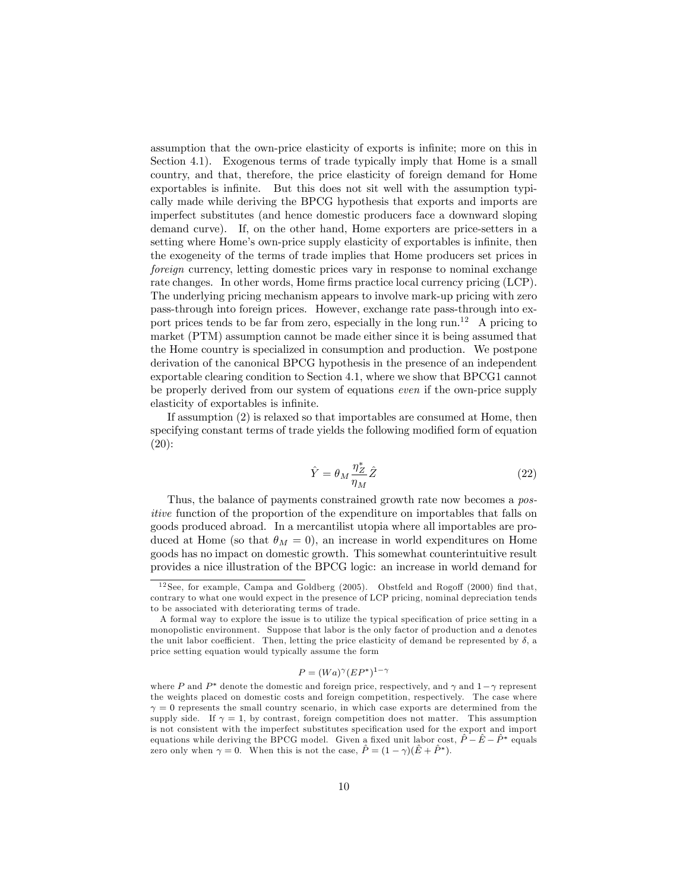assumption that the own-price elasticity of exports is infinite; more on this in Section 4.1). Exogenous terms of trade typically imply that Home is a small country, and that, therefore, the price elasticity of foreign demand for Home exportables is infinite. But this does not sit well with the assumption typically made while deriving the BPCG hypothesis that exports and imports are imperfect substitutes (and hence domestic producers face a downward sloping demand curve). If, on the other hand, Home exporters are price-setters in a setting where Home's own-price supply elasticity of exportables is infinite, then the exogeneity of the terms of trade implies that Home producers set prices in foreign currency, letting domestic prices vary in response to nominal exchange rate changes. In other words, Home firms practice local currency pricing (LCP). The underlying pricing mechanism appears to involve mark-up pricing with zero pass-through into foreign prices. However, exchange rate pass-through into export prices tends to be far from zero, especially in the long run.<sup>12</sup> A pricing to market (PTM) assumption cannot be made either since it is being assumed that the Home country is specialized in consumption and production. We postpone derivation of the canonical BPCG hypothesis in the presence of an independent exportable clearing condition to Section 4.1, where we show that BPCG1 cannot be properly derived from our system of equations even if the own-price supply elasticity of exportables is infinite.

If assumption (2) is relaxed so that importables are consumed at Home, then specifying constant terms of trade yields the following modified form of equation (20):

$$
\hat{Y} = \theta_M \frac{\eta_Z^*}{\eta_M} \hat{Z}
$$
\n(22)

Thus, the balance of payments constrained growth rate now becomes a positive function of the proportion of the expenditure on importables that falls on goods produced abroad. In a mercantilist utopia where all importables are produced at Home (so that  $\theta_M = 0$ ), an increase in world expenditures on Home goods has no impact on domestic growth. This somewhat counterintuitive result provides a nice illustration of the BPCG logic: an increase in world demand for

$$
P = (Wa)^{\gamma} (EP^*)^{1-\gamma}
$$

 $12$  See, for example, Campa and Goldberg (2005). Obstfeld and Rogoff (2000) find that, contrary to what one would expect in the presence of LCP pricing, nominal depreciation tends to be associated with deteriorating terms of trade.

A formal way to explore the issue is to utilize the typical specification of price setting in a monopolistic environment. Suppose that labor is the only factor of production and a denotes the unit labor coefficient. Then, letting the price elasticity of demand be represented by  $\delta$ , a price setting equation would typically assume the form

where P and  $P^*$  denote the domestic and foreign price, respectively, and  $\gamma$  and  $1-\gamma$  represent the weights placed on domestic costs and foreign competition, respectively. The case where  $\gamma = 0$  represents the small country scenario, in which case exports are determined from the supply side. If  $\gamma = 1$ , by contrast, foreign competition does not matter. This assumption is not consistent with the imperfect substitutes speciÖcation used for the export and import equations while deriving the BPCG model. Given a fixed unit labor cost,  $\hat{P} - \hat{E} - \hat{P}^*$  equals zero only when  $\gamma = 0$ . When this is not the case,  $\hat{P} = (1 - \gamma)(\hat{E} + \hat{P}^*)$ .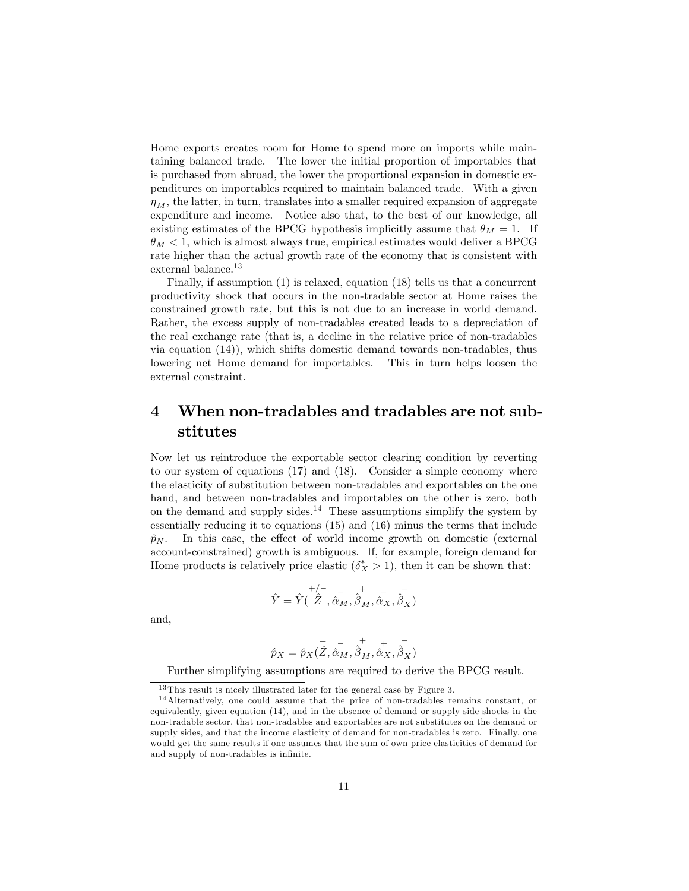Home exports creates room for Home to spend more on imports while maintaining balanced trade. The lower the initial proportion of importables that is purchased from abroad, the lower the proportional expansion in domestic expenditures on importables required to maintain balanced trade. With a given  $\eta_M$ , the latter, in turn, translates into a smaller required expansion of aggregate expenditure and income. Notice also that, to the best of our knowledge, all existing estimates of the BPCG hypothesis implicitly assume that  $\theta_M = 1$ . If  $\theta_M < 1$ , which is almost always true, empirical estimates would deliver a BPCG rate higher than the actual growth rate of the economy that is consistent with external balance.<sup>13</sup>

Finally, if assumption (1) is relaxed, equation (18) tells us that a concurrent productivity shock that occurs in the non-tradable sector at Home raises the constrained growth rate, but this is not due to an increase in world demand. Rather, the excess supply of non-tradables created leads to a depreciation of the real exchange rate (that is, a decline in the relative price of non-tradables via equation (14)), which shifts domestic demand towards non-tradables, thus lowering net Home demand for importables. This in turn helps loosen the external constraint.

## 4 When non-tradables and tradables are not substitutes

Now let us reintroduce the exportable sector clearing condition by reverting to our system of equations (17) and (18). Consider a simple economy where the elasticity of substitution between non-tradables and exportables on the one hand, and between non-tradables and importables on the other is zero, both on the demand and supply sides.<sup>14</sup> These assumptions simplify the system by essentially reducing it to equations (15) and (16) minus the terms that include  $\hat{p}_N$ . In this case, the effect of world income growth on domestic (external account-constrained) growth is ambiguous. If, for example, foreign demand for Home products is relatively price elastic  $(\delta_X^* > 1)$ , then it can be shown that:

$$
\hat{Y} = \hat{Y}(\stackrel{+/-}{\hat{Z}},\stackrel{-}{\hat{\alpha}_M},\stackrel{+}{\hat{\beta}_M},\stackrel{-}{\hat{\alpha}_X},\stackrel{+}{\hat{\beta}_X})
$$

and,

$$
\hat{p}_X = \hat{p}_X(\overset{+}{\hat{Z}}, \overset{-}{\hat{\alpha}_M}, \overset{+}{\hat{\beta}_M}, \overset{+}{\hat{\alpha}_X}, \overset{-}{\hat{\beta}_X})
$$

Further simplifying assumptions are required to derive the BPCG result.

 $13$  This result is nicely illustrated later for the general case by Figure 3.

<sup>1 4</sup>Alternatively, one could assume that the price of non-tradables remains constant, or equivalently, given equation (14), and in the absence of demand or supply side shocks in the non-tradable sector, that non-tradables and exportables are not substitutes on the demand or supply sides, and that the income elasticity of demand for non-tradables is zero. Finally, one would get the same results if one assumes that the sum of own price elasticities of demand for and supply of non-tradables is infinite.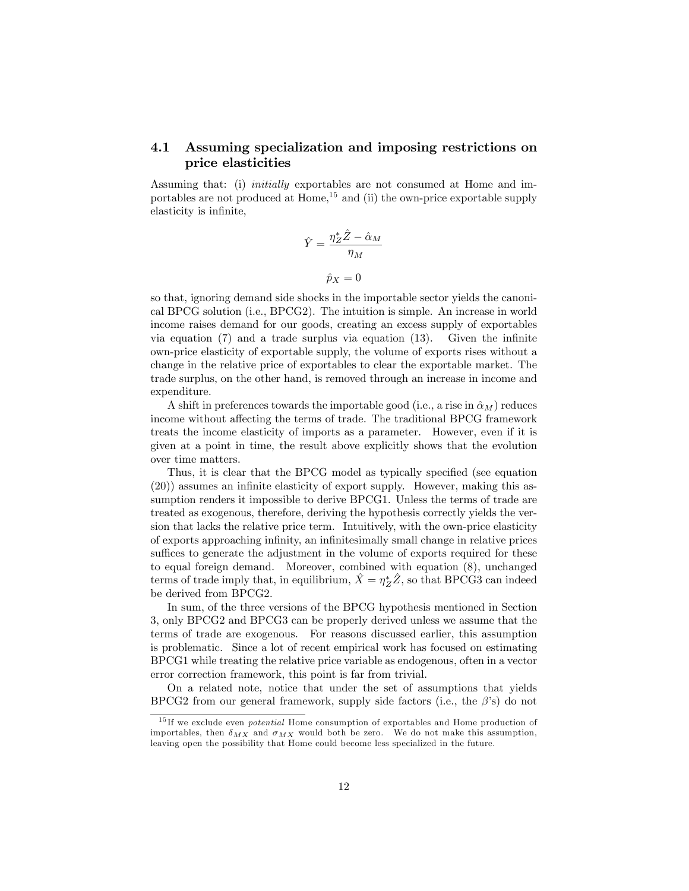#### 4.1 Assuming specialization and imposing restrictions on price elasticities

Assuming that: (i) initially exportables are not consumed at Home and importables are not produced at  $Home$ ,  $^{15}$  and (ii) the own-price exportable supply elasticity is infinite,

$$
\hat{Y} = \frac{\eta_Z^* \hat{Z} - \hat{\alpha}_M}{\eta_M}
$$

$$
\hat{p}_X = 0
$$

so that, ignoring demand side shocks in the importable sector yields the canonical BPCG solution (i.e., BPCG2). The intuition is simple. An increase in world income raises demand for our goods, creating an excess supply of exportables via equation  $(7)$  and a trade surplus via equation  $(13)$ . Given the infinite own-price elasticity of exportable supply, the volume of exports rises without a change in the relative price of exportables to clear the exportable market. The trade surplus, on the other hand, is removed through an increase in income and expenditure.

A shift in preferences towards the importable good (i.e., a rise in  $\hat{\alpha}_M$ ) reduces income without affecting the terms of trade. The traditional BPCG framework treats the income elasticity of imports as a parameter. However, even if it is given at a point in time, the result above explicitly shows that the evolution over time matters.

Thus, it is clear that the BPCG model as typically specified (see equation  $(20)$ ) assumes an infinite elasticity of export supply. However, making this assumption renders it impossible to derive BPCG1. Unless the terms of trade are treated as exogenous, therefore, deriving the hypothesis correctly yields the version that lacks the relative price term. Intuitively, with the own-price elasticity of exports approaching inÖnity, an inÖnitesimally small change in relative prices suffices to generate the adjustment in the volume of exports required for these to equal foreign demand. Moreover, combined with equation (8), unchanged terms of trade imply that, in equilibrium,  $\hat{X} = \eta_Z^* \hat{Z}$ , so that BPCG3 can indeed be derived from BPCG2.

In sum, of the three versions of the BPCG hypothesis mentioned in Section 3, only BPCG2 and BPCG3 can be properly derived unless we assume that the terms of trade are exogenous. For reasons discussed earlier, this assumption is problematic. Since a lot of recent empirical work has focused on estimating BPCG1 while treating the relative price variable as endogenous, often in a vector error correction framework, this point is far from trivial.

On a related note, notice that under the set of assumptions that yields BPCG2 from our general framework, supply side factors (i.e., the  $\beta$ 's) do not

 $15$  If we exclude even *potential* Home consumption of exportables and Home production of importables, then  $\delta_{MX}$  and  $\sigma_{MX}$  would both be zero. We do not make this assumption, leaving open the possibility that Home could become less specialized in the future.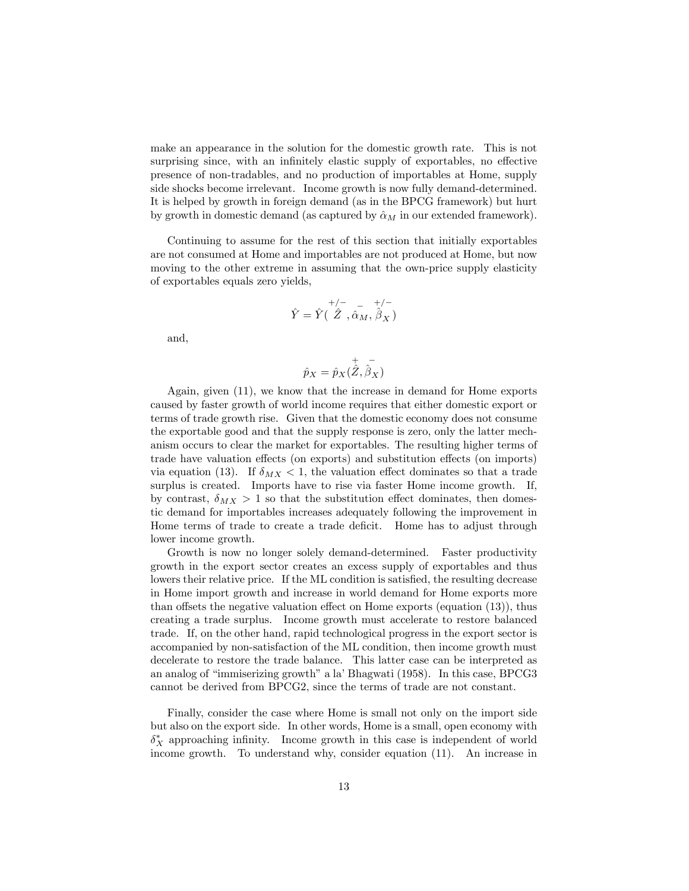make an appearance in the solution for the domestic growth rate. This is not surprising since, with an infinitely elastic supply of exportables, no effective presence of non-tradables, and no production of importables at Home, supply side shocks become irrelevant. Income growth is now fully demand-determined. It is helped by growth in foreign demand (as in the BPCG framework) but hurt by growth in domestic demand (as captured by  $\hat{\alpha}_M$  in our extended framework).

Continuing to assume for the rest of this section that initially exportables are not consumed at Home and importables are not produced at Home, but now moving to the other extreme in assuming that the own-price supply elasticity of exportables equals zero yields,

$$
\hat{Y} = \hat{Y}(\stackrel{+/-}{\hat{Z}}, \stackrel{-}{\hat{\alpha}_M}, \stackrel{+/-}{\hat{\beta}_X})
$$

and,

$$
\hat{p}_X = \hat{p}_X(\overset{+}{\hat{Z}}, \overset{-}{\hat{\beta}_X})
$$

Again, given (11), we know that the increase in demand for Home exports caused by faster growth of world income requires that either domestic export or terms of trade growth rise. Given that the domestic economy does not consume the exportable good and that the supply response is zero, only the latter mechanism occurs to clear the market for exportables. The resulting higher terms of trade have valuation effects (on exports) and substitution effects (on imports) via equation (13). If  $\delta_{MX} < 1$ , the valuation effect dominates so that a trade surplus is created. Imports have to rise via faster Home income growth. If, by contrast,  $\delta_{MX} > 1$  so that the substitution effect dominates, then domestic demand for importables increases adequately following the improvement in Home terms of trade to create a trade deficit. Home has to adjust through lower income growth.

Growth is now no longer solely demand-determined. Faster productivity growth in the export sector creates an excess supply of exportables and thus lowers their relative price. If the ML condition is satisfied, the resulting decrease in Home import growth and increase in world demand for Home exports more than offsets the negative valuation effect on Home exports (equation  $(13)$ ), thus creating a trade surplus. Income growth must accelerate to restore balanced trade. If, on the other hand, rapid technological progress in the export sector is accompanied by non-satisfaction of the ML condition, then income growth must decelerate to restore the trade balance. This latter case can be interpreted as an analog of "immiserizing growth" a la' Bhagwati (1958). In this case, BPCG3 cannot be derived from BPCG2, since the terms of trade are not constant.

Finally, consider the case where Home is small not only on the import side but also on the export side. In other words, Home is a small, open economy with  $\delta_X^*$  approaching infinity. Income growth in this case is independent of world income growth. To understand why, consider equation (11). An increase in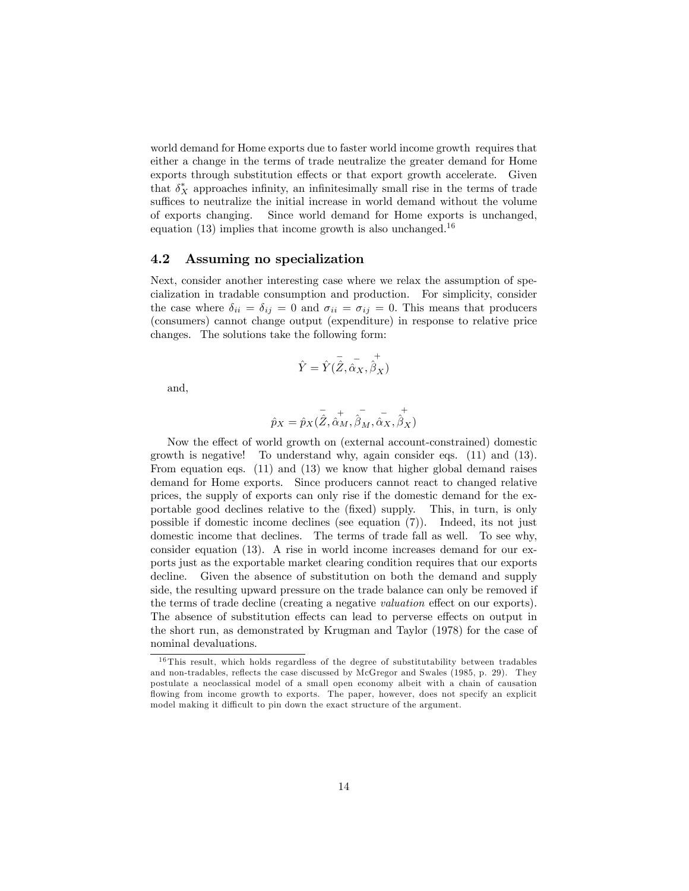world demand for Home exports due to faster world income growth requires that either a change in the terms of trade neutralize the greater demand for Home exports through substitution effects or that export growth accelerate. Given that  $\delta_X^*$  approaches infinity, an infinitesimally small rise in the terms of trade suffices to neutralize the initial increase in world demand without the volume of exports changing. Since world demand for Home exports is unchanged, equation  $(13)$  implies that income growth is also unchanged.<sup>16</sup>

#### 4.2 Assuming no specialization

Next, consider another interesting case where we relax the assumption of specialization in tradable consumption and production. For simplicity, consider the case where  $\delta_{ii} = \delta_{ij} = 0$  and  $\sigma_{ii} = \sigma_{ij} = 0$ . This means that producers (consumers) cannot change output (expenditure) in response to relative price changes. The solutions take the following form:

$$
\hat{Y} = \hat{Y}(\overline{\hat{Z}}, \overline{\hat{\alpha}_X}, \hat{\hat{\beta}_X})
$$

and,

$$
\hat{p}_X=\hat{p}_X(\overset{\_}{\hat{Z}},\overset{\_}{\hat{\alpha}_M},\overset{\_}{\hat{\beta}_M},\overset{\_}{\hat{\alpha}_X},\overset{\_}{\hat{\beta}_X})
$$

Now the effect of world growth on (external account-constrained) domestic growth is negative! To understand why, again consider eqs. (11) and (13). From equation eqs. (11) and (13) we know that higher global demand raises demand for Home exports. Since producers cannot react to changed relative prices, the supply of exports can only rise if the domestic demand for the exportable good declines relative to the (Öxed) supply. This, in turn, is only possible if domestic income declines (see equation (7)). Indeed, its not just domestic income that declines. The terms of trade fall as well. To see why, consider equation (13). A rise in world income increases demand for our exports just as the exportable market clearing condition requires that our exports decline. Given the absence of substitution on both the demand and supply side, the resulting upward pressure on the trade balance can only be removed if the terms of trade decline (creating a negative *valuation* effect on our exports). The absence of substitution effects can lead to perverse effects on output in the short run, as demonstrated by Krugman and Taylor (1978) for the case of nominal devaluations.

<sup>&</sup>lt;sup>16</sup>This result, which holds regardless of the degree of substitutability between tradables and non-tradables, reflects the case discussed by McGregor and Swales (1985, p. 29). They postulate a neoclassical model of a small open economy albeit with a chain of causation flowing from income growth to exports. The paper, however, does not specify an explicit model making it difficult to pin down the exact structure of the argument.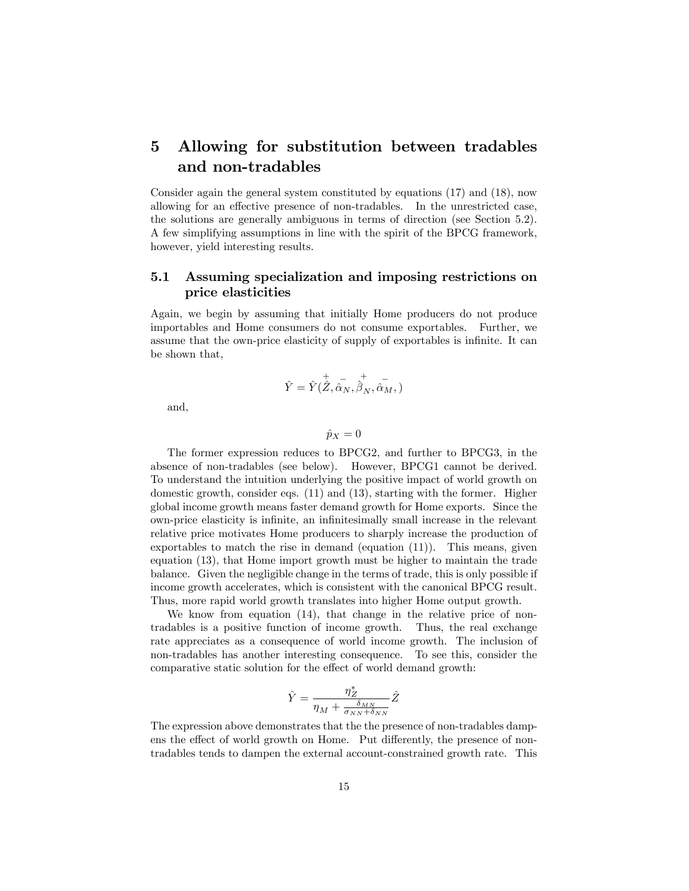## 5 Allowing for substitution between tradables and non-tradables

Consider again the general system constituted by equations (17) and (18), now allowing for an effective presence of non-tradables. In the unrestricted case, the solutions are generally ambiguous in terms of direction (see Section 5.2). A few simplifying assumptions in line with the spirit of the BPCG framework, however, yield interesting results.

#### 5.1 Assuming specialization and imposing restrictions on price elasticities

Again, we begin by assuming that initially Home producers do not produce importables and Home consumers do not consume exportables. Further, we assume that the own-price elasticity of supply of exportables is infinite. It can be shown that,

$$
\hat{Y}=\hat{Y}(\overset{+}{\hat{Z}},\overset{-}{\hat{\alpha}_N},\overset{+}{\hat{\beta}_N},\overset{-}{\hat{\alpha}_M},)
$$

and,

$$
\hat{p}_X=0
$$

The former expression reduces to BPCG2, and further to BPCG3, in the absence of non-tradables (see below). However, BPCG1 cannot be derived. To understand the intuition underlying the positive impact of world growth on domestic growth, consider eqs. (11) and (13), starting with the former. Higher global income growth means faster demand growth for Home exports. Since the own-price elasticity is inÖnite, an inÖnitesimally small increase in the relevant relative price motivates Home producers to sharply increase the production of exportables to match the rise in demand (equation  $(11)$ ). This means, given equation (13), that Home import growth must be higher to maintain the trade balance. Given the negligible change in the terms of trade, this is only possible if income growth accelerates, which is consistent with the canonical BPCG result. Thus, more rapid world growth translates into higher Home output growth.

We know from equation (14), that change in the relative price of nontradables is a positive function of income growth. Thus, the real exchange rate appreciates as a consequence of world income growth. The inclusion of non-tradables has another interesting consequence. To see this, consider the comparative static solution for the effect of world demand growth:

$$
\hat{Y} = \frac{\eta_Z^*}{\eta_M + \frac{\delta_{MN}}{\sigma_{NN} + \delta_{NN}}} \hat{Z}
$$

The expression above demonstrates that the the presence of non-tradables dampens the effect of world growth on Home. Put differently, the presence of nontradables tends to dampen the external account-constrained growth rate. This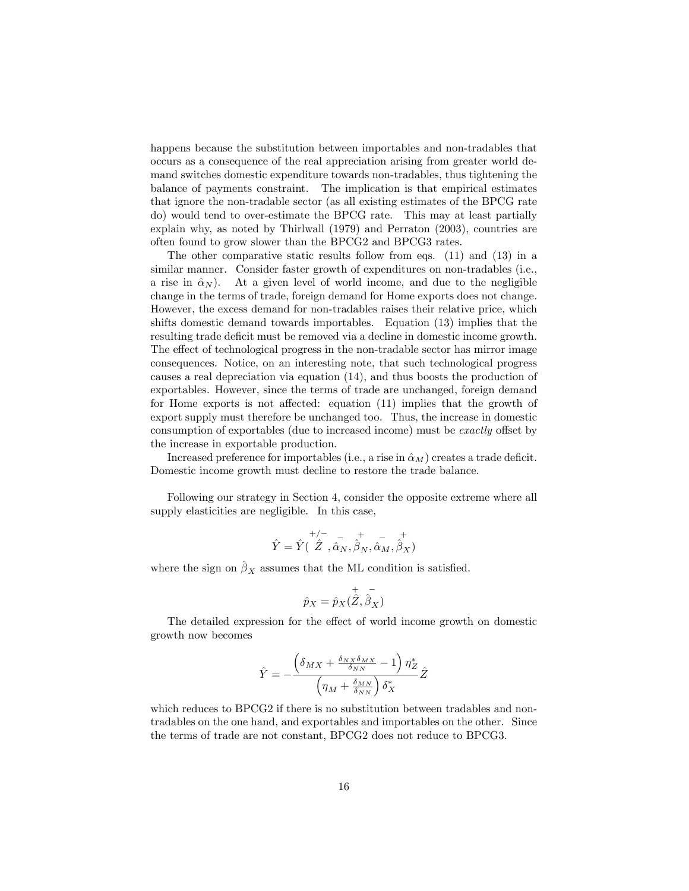happens because the substitution between importables and non-tradables that occurs as a consequence of the real appreciation arising from greater world demand switches domestic expenditure towards non-tradables, thus tightening the balance of payments constraint. The implication is that empirical estimates that ignore the non-tradable sector (as all existing estimates of the BPCG rate do) would tend to over-estimate the BPCG rate. This may at least partially explain why, as noted by Thirlwall (1979) and Perraton (2003), countries are often found to grow slower than the BPCG2 and BPCG3 rates.

The other comparative static results follow from eqs. (11) and (13) in a similar manner. Consider faster growth of expenditures on non-tradables (i.e., a rise in  $\hat{\alpha}_N$ ). At a given level of world income, and due to the negligible change in the terms of trade, foreign demand for Home exports does not change. However, the excess demand for non-tradables raises their relative price, which shifts domestic demand towards importables. Equation (13) implies that the resulting trade deficit must be removed via a decline in domestic income growth. The effect of technological progress in the non-tradable sector has mirror image consequences. Notice, on an interesting note, that such technological progress causes a real depreciation via equation (14), and thus boosts the production of exportables. However, since the terms of trade are unchanged, foreign demand for Home exports is not affected: equation  $(11)$  implies that the growth of export supply must therefore be unchanged too. Thus, the increase in domestic consumption of exportables (due to increased income) must be *exactly* offset by the increase in exportable production.

Increased preference for importables (i.e., a rise in  $\hat{\alpha}_M$ ) creates a trade deficit. Domestic income growth must decline to restore the trade balance.

Following our strategy in Section 4, consider the opposite extreme where all supply elasticities are negligible. In this case,

$$
\hat{Y} = \hat{Y}(\stackrel{+/-}{\hat{Z}},\stackrel{-}{\hat{\alpha}_N},\stackrel{+}{\hat{\beta}_N},\stackrel{-}{\hat{\alpha}_M},\stackrel{+}{\hat{\beta}_X})
$$

where the sign on  $\hat{\beta}_X$  assumes that the ML condition is satisfied.

$$
\hat{p}_X = \hat{p}_X(\overset{+}{\hat{Z}}, \overset{-}{\hat{\beta}_X})
$$

The detailed expression for the effect of world income growth on domestic growth now becomes

$$
\hat{Y} = -\frac{\left(\delta_{MX} + \frac{\delta_{NX}\delta_{MX}}{\delta_{NN}} - 1\right)\eta^*_{Z}}{\left(\eta_M + \frac{\delta_{MN}}{\delta_{NN}}\right)\delta^*_{X}}\hat{Z}
$$

which reduces to BPCG2 if there is no substitution between tradables and nontradables on the one hand, and exportables and importables on the other. Since the terms of trade are not constant, BPCG2 does not reduce to BPCG3.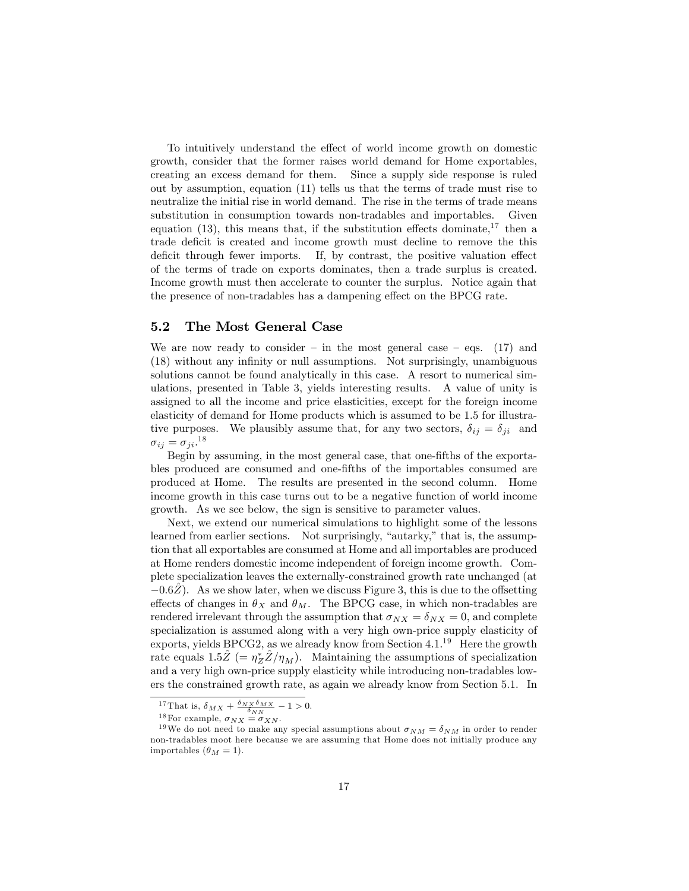To intuitively understand the effect of world income growth on domestic growth, consider that the former raises world demand for Home exportables, creating an excess demand for them. Since a supply side response is ruled out by assumption, equation (11) tells us that the terms of trade must rise to neutralize the initial rise in world demand. The rise in the terms of trade means substitution in consumption towards non-tradables and importables. Given equation (13), this means that, if the substitution effects dominate,  $17$  then a trade deficit is created and income growth must decline to remove the this deficit through fewer imports. If, by contrast, the positive valuation effect of the terms of trade on exports dominates, then a trade surplus is created. Income growth must then accelerate to counter the surplus. Notice again that the presence of non-tradables has a dampening effect on the BPCG rate.

#### 5.2 The Most General Case

We are now ready to consider – in the most general case – eqs. (17) and (18) without any inÖnity or null assumptions. Not surprisingly, unambiguous solutions cannot be found analytically in this case. A resort to numerical simulations, presented in Table 3, yields interesting results. A value of unity is assigned to all the income and price elasticities, except for the foreign income elasticity of demand for Home products which is assumed to be 1.5 for illustrative purposes. We plausibly assume that, for any two sectors,  $\delta_{ij} = \delta_{ji}$  and  $\sigma_{ij} = \sigma_{ji}.^{18}$ 

Begin by assuming, in the most general case, that one-fifths of the exportables produced are consumed and one-Öfths of the importables consumed are produced at Home. The results are presented in the second column. Home income growth in this case turns out to be a negative function of world income growth. As we see below, the sign is sensitive to parameter values.

Next, we extend our numerical simulations to highlight some of the lessons learned from earlier sections. Not surprisingly, "autarky," that is, the assumption that all exportables are consumed at Home and all importables are produced at Home renders domestic income independent of foreign income growth. Complete specialization leaves the externally-constrained growth rate unchanged (at  $-0.6\overline{Z}$ ). As we show later, when we discuss Figure 3, this is due to the offsetting effects of changes in  $\theta_X$  and  $\theta_M$ . The BPCG case, in which non-tradables are rendered irrelevant through the assumption that  $\sigma_{NX} = \delta_{NX} = 0$ , and complete specialization is assumed along with a very high own-price supply elasticity of exports, yields BPCG2, as we already know from Section  $4.1^{19}$  Here the growth rate equals  $1.5\hat{Z}$  (=  $\eta_Z^* \hat{Z}/\eta_M$ ). Maintaining the assumptions of specialization and a very high own-price supply elasticity while introducing non-tradables lowers the constrained growth rate, as again we already know from Section 5.1. In

<sup>&</sup>lt;sup>17</sup> That is,  $\delta_{MX} + \frac{\delta_{NX}\delta_{MX}}{\delta_{NN}} - 1 > 0$ .

<sup>&</sup>lt;sup>18</sup>For example,  $\sigma_{NX} = \sigma_{XN}$ .

<sup>&</sup>lt;sup>19</sup>We do not need to make any special assumptions about  $\sigma_{NM} = \delta_{NM}$  in order to render non-tradables moot here because we are assuming that Home does not initially produce any importables  $(\theta_M = 1)$ .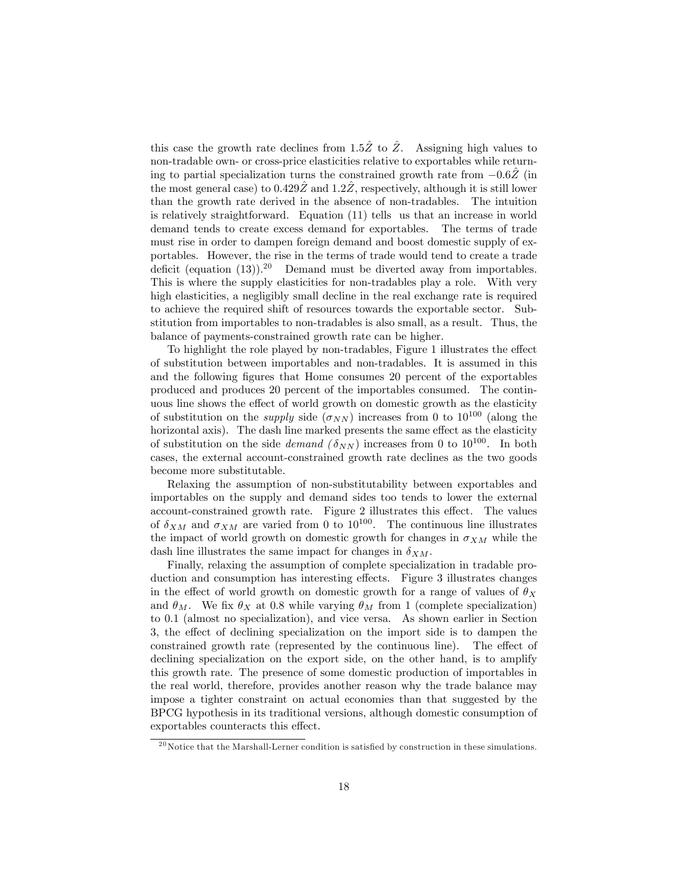this case the growth rate declines from 1.5 $\hat{Z}$  to  $\hat{Z}$ . Assigning high values to non-tradable own- or cross-price elasticities relative to exportables while returning to partial specialization turns the constrained growth rate from  $-0.6Z$  (in the most general case) to  $0.429Z$  and  $1.2Z$ , respectively, although it is still lower than the growth rate derived in the absence of non-tradables. The intuition is relatively straightforward. Equation (11) tells us that an increase in world demand tends to create excess demand for exportables. The terms of trade must rise in order to dampen foreign demand and boost domestic supply of exportables. However, the rise in the terms of trade would tend to create a trade deficit (equation  $(13)$ ).<sup>20</sup> Demand must be diverted away from importables. This is where the supply elasticities for non-tradables play a role. With very high elasticities, a negligibly small decline in the real exchange rate is required to achieve the required shift of resources towards the exportable sector. Substitution from importables to non-tradables is also small, as a result. Thus, the balance of payments-constrained growth rate can be higher.

To highlight the role played by non-tradables, Figure 1 illustrates the effect of substitution between importables and non-tradables. It is assumed in this and the following figures that Home consumes 20 percent of the exportables produced and produces 20 percent of the importables consumed. The continuous line shows the effect of world growth on domestic growth as the elasticity of substitution on the *supply* side  $(\sigma_{NN})$  increases from 0 to 10<sup>100</sup> (along the horizontal axis). The dash line marked presents the same effect as the elasticity of substitution on the side *demand*  $(\delta_{NN})$  increases from 0 to 10<sup>100</sup>. In both cases, the external account-constrained growth rate declines as the two goods become more substitutable.

Relaxing the assumption of non-substitutability between exportables and importables on the supply and demand sides too tends to lower the external account-constrained growth rate. Figure 2 illustrates this effect. The values of  $\delta_{XM}$  and  $\sigma_{XM}$  are varied from 0 to 10<sup>100</sup>. The continuous line illustrates the impact of world growth on domestic growth for changes in  $\sigma_{XM}$  while the dash line illustrates the same impact for changes in  $\delta_{XM}$ .

Finally, relaxing the assumption of complete specialization in tradable production and consumption has interesting effects. Figure 3 illustrates changes in the effect of world growth on domestic growth for a range of values of  $\theta_X$ and  $\theta_M$ . We fix  $\theta_X$  at 0.8 while varying  $\theta_M$  from 1 (complete specialization) to 0.1 (almost no specialization), and vice versa. As shown earlier in Section 3, the effect of declining specialization on the import side is to dampen the constrained growth rate (represented by the continuous line). The effect of declining specialization on the export side, on the other hand, is to amplify this growth rate. The presence of some domestic production of importables in the real world, therefore, provides another reason why the trade balance may impose a tighter constraint on actual economies than that suggested by the BPCG hypothesis in its traditional versions, although domestic consumption of exportables counteracts this effect.

 $20$  Notice that the Marshall-Lerner condition is satisfied by construction in these simulations.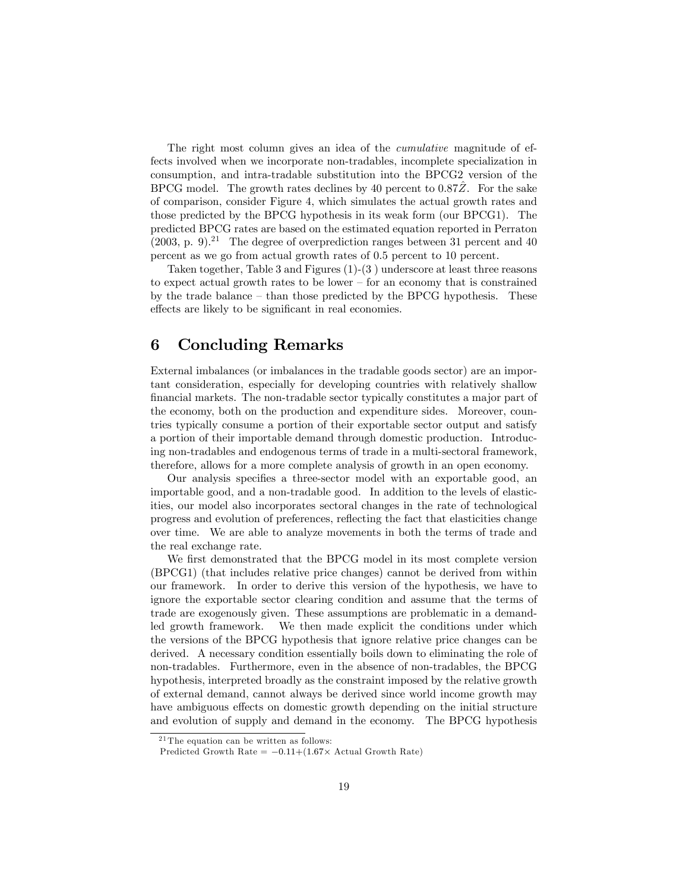The right most column gives an idea of the *cumulative* magnitude of effects involved when we incorporate non-tradables, incomplete specialization in consumption, and intra-tradable substitution into the BPCG2 version of the BPCG model. The growth rates declines by 40 percent to  $0.87Z$ . For the sake of comparison, consider Figure 4, which simulates the actual growth rates and those predicted by the BPCG hypothesis in its weak form (our BPCG1). The predicted BPCG rates are based on the estimated equation reported in Perraton  $(2003, p. 9)<sup>21</sup>$  The degree of overprediction ranges between 31 percent and 40 percent as we go from actual growth rates of 0.5 percent to 10 percent.

Taken together, Table 3 and Figures (1)-(3 ) underscore at least three reasons to expect actual growth rates to be lower  $-$  for an economy that is constrained by the trade balance  $-$  than those predicted by the BPCG hypothesis. These effects are likely to be significant in real economies.

### 6 Concluding Remarks

External imbalances (or imbalances in the tradable goods sector) are an important consideration, especially for developing countries with relatively shallow Önancial markets. The non-tradable sector typically constitutes a major part of the economy, both on the production and expenditure sides. Moreover, countries typically consume a portion of their exportable sector output and satisfy a portion of their importable demand through domestic production. Introducing non-tradables and endogenous terms of trade in a multi-sectoral framework, therefore, allows for a more complete analysis of growth in an open economy.

Our analysis specifies a three-sector model with an exportable good, an importable good, and a non-tradable good. In addition to the levels of elasticities, our model also incorporates sectoral changes in the rate of technological progress and evolution of preferences, reáecting the fact that elasticities change over time. We are able to analyze movements in both the terms of trade and the real exchange rate.

We first demonstrated that the BPCG model in its most complete version (BPCG1) (that includes relative price changes) cannot be derived from within our framework. In order to derive this version of the hypothesis, we have to ignore the exportable sector clearing condition and assume that the terms of trade are exogenously given. These assumptions are problematic in a demandled growth framework. We then made explicit the conditions under which the versions of the BPCG hypothesis that ignore relative price changes can be derived. A necessary condition essentially boils down to eliminating the role of non-tradables. Furthermore, even in the absence of non-tradables, the BPCG hypothesis, interpreted broadly as the constraint imposed by the relative growth of external demand, cannot always be derived since world income growth may have ambiguous effects on domestic growth depending on the initial structure and evolution of supply and demand in the economy. The BPCG hypothesis

 $2<sup>1</sup>$  The equation can be written as follows:

Predicted Growth Rate  $= -0.11 + (1.67 \times$  Actual Growth Rate)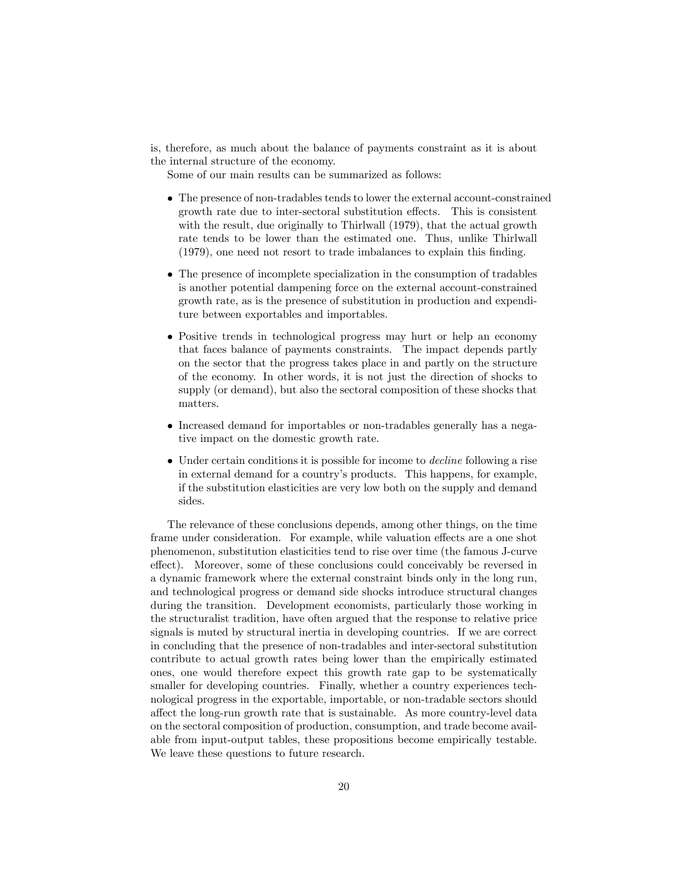is, therefore, as much about the balance of payments constraint as it is about the internal structure of the economy.

Some of our main results can be summarized as follows:

- The presence of non-tradables tends to lower the external account-constrained growth rate due to inter-sectoral substitution effects. This is consistent with the result, due originally to Thirlwall (1979), that the actual growth rate tends to be lower than the estimated one. Thus, unlike Thirlwall (1979), one need not resort to trade imbalances to explain this Önding.
- The presence of incomplete specialization in the consumption of tradables is another potential dampening force on the external account-constrained growth rate, as is the presence of substitution in production and expenditure between exportables and importables.
- Positive trends in technological progress may hurt or help an economy that faces balance of payments constraints. The impact depends partly on the sector that the progress takes place in and partly on the structure of the economy. In other words, it is not just the direction of shocks to supply (or demand), but also the sectoral composition of these shocks that matters.
- Increased demand for importables or non-tradables generally has a negative impact on the domestic growth rate.
- Under certain conditions it is possible for income to decline following a rise in external demand for a countryís products. This happens, for example, if the substitution elasticities are very low both on the supply and demand sides.

The relevance of these conclusions depends, among other things, on the time frame under consideration. For example, while valuation effects are a one shot phenomenon, substitution elasticities tend to rise over time (the famous J-curve effect). Moreover, some of these conclusions could conceivably be reversed in a dynamic framework where the external constraint binds only in the long run, and technological progress or demand side shocks introduce structural changes during the transition. Development economists, particularly those working in the structuralist tradition, have often argued that the response to relative price signals is muted by structural inertia in developing countries. If we are correct in concluding that the presence of non-tradables and inter-sectoral substitution contribute to actual growth rates being lower than the empirically estimated ones, one would therefore expect this growth rate gap to be systematically smaller for developing countries. Finally, whether a country experiences technological progress in the exportable, importable, or non-tradable sectors should affect the long-run growth rate that is sustainable. As more country-level data on the sectoral composition of production, consumption, and trade become available from input-output tables, these propositions become empirically testable. We leave these questions to future research.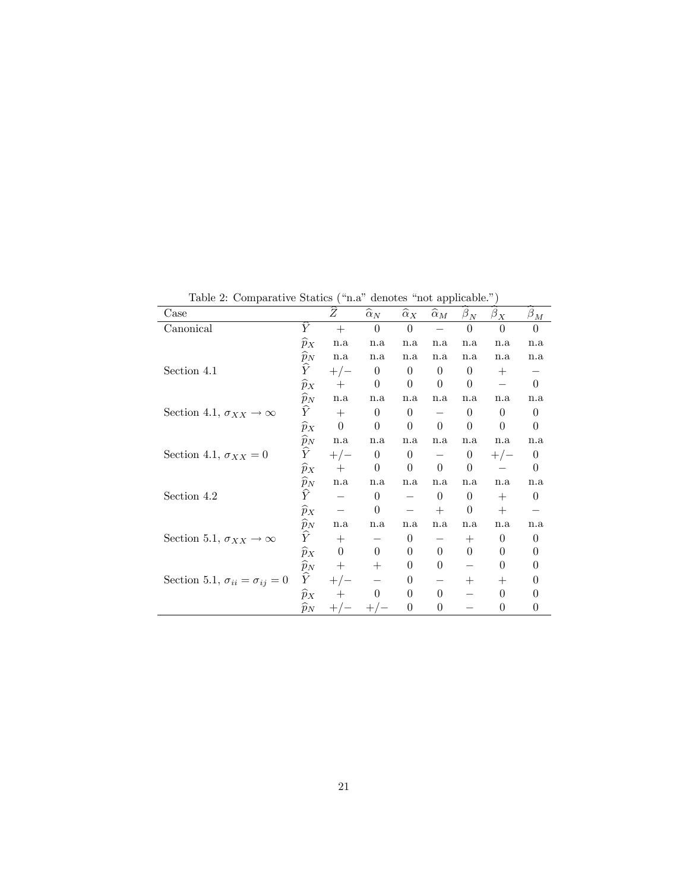Table 2: Comparative Statics ( $n.a$  denotes  $n.o$  applicable.<sup>n</sup>)

| Case                                          |                 | $\widehat{\widetilde{Z}}$ | $\widehat{\alpha}_N$ | $\widehat{\alpha}_X$            | --1- 1<br>$\widehat{\alpha}_M$ | $\widehat{\beta}_N$ | $\beta_{\underline{X}}$ | $\beta_{\underline{M}}$ |
|-----------------------------------------------|-----------------|---------------------------|----------------------|---------------------------------|--------------------------------|---------------------|-------------------------|-------------------------|
| $\mbox{C}{\bf a}$ nonical                     | $\widehat{Y}$   | $+$                       | $\theta$             | $\overline{0}$                  |                                | $\theta$            | $\theta$                | $\Omega$                |
|                                               | $\widehat{p}_X$ | n.a                       | n.a                  | n.a                             | n.a                            | n.a                 | n.a                     | n.a                     |
|                                               | $\widehat{p}_N$ | n.a                       | n.a                  | n.a                             | n.a                            | n.a                 | n.a                     | n.a                     |
| Section 4.1                                   | $\widehat{Y}$   | $+/-$                     | $\theta$             | $\theta$                        | $\theta$                       | $\theta$            | $^{+}$                  |                         |
|                                               | $\widehat{p}_X$ | $^{+}$                    | $\theta$             | $\theta$                        | $\theta$                       | $\theta$            |                         | $\Omega$                |
|                                               | $\widehat{p}_N$ | n.a                       | n.a                  | n.a                             | n.a                            | n.a                 | n.a                     | n.a                     |
| Section 4.1, $\sigma_{XX} \rightarrow \infty$ | $\widehat{Y}$   | $+$                       | $\overline{0}$       | $\overline{0}$                  |                                | $\theta$            | $\overline{0}$          | $\theta$                |
|                                               | $\widehat{p}_X$ | $\Omega$                  | $\theta$             | $\Omega$                        | $\Omega$                       | $\Omega$            | $\Omega$                | $\Omega$                |
|                                               | $\widehat{p}_N$ | n.a                       | n.a                  | n.a                             | n.a                            | n.a                 | n.a                     | n.a                     |
| Section 4.1, $\sigma_{XX} = 0$                | $\widehat{Y}$   | $+/-$                     | $\overline{0}$       | $\begin{matrix} 0 \end{matrix}$ | $\overline{\phantom{m}}$       | $\boldsymbol{0}$    | $+/-$                   | $\theta$                |
|                                               | $\widehat{p}_X$ | $^{+}$                    | $\Omega$             | $\Omega$                        | $\theta$                       | $\theta$            |                         | $\Omega$                |
|                                               | $\widehat{p}_N$ | n.a                       | n.a                  | n.a                             | n.a                            | n.a                 | n.a                     | n.a                     |
| Section 4.2                                   | $\widehat{Y}$   |                           | $\theta$             |                                 | $\overline{0}$                 | $\theta$            | $+$                     | $\theta$                |
|                                               | $\widehat{p}_X$ |                           | $\Omega$             |                                 | $+$                            | $\Omega$            | $+$                     |                         |
|                                               | $\widehat{p}_N$ | n.a                       | n.a                  | n.a                             | n.a                            | n.a                 | n.a                     | n.a                     |
| Section 5.1, $\sigma_{XX} \rightarrow \infty$ | $\widehat{Y}$   | $+$                       |                      | $\overline{0}$                  |                                | $+$                 | $\theta$                | $\theta$                |
|                                               | $\widehat{p}_X$ | $\overline{0}$            | $\Omega$             | $\theta$                        | $\overline{0}$                 | $\Omega$            | $\Omega$                | 0                       |
|                                               | $\widehat{p}_N$ | $+$                       | $^{+}$               | $\theta$                        | $\theta$                       |                     | $\Omega$                | 0                       |
| Section 5.1, $\sigma_{ii} = \sigma_{ij} = 0$  | $\widehat{Y}$   | $+/-$                     |                      | $\boldsymbol{0}$                |                                | $+$                 | $^{+}$                  | $\theta$                |
|                                               | $\widehat{p}_X$ |                           | $\left($             | $\theta$                        | $\Omega$                       |                     | $\Omega$                | $\theta$                |
|                                               | $\widehat{p}_N$ |                           |                      | $\theta$                        | $\theta$                       |                     | $\theta$                | $\theta$                |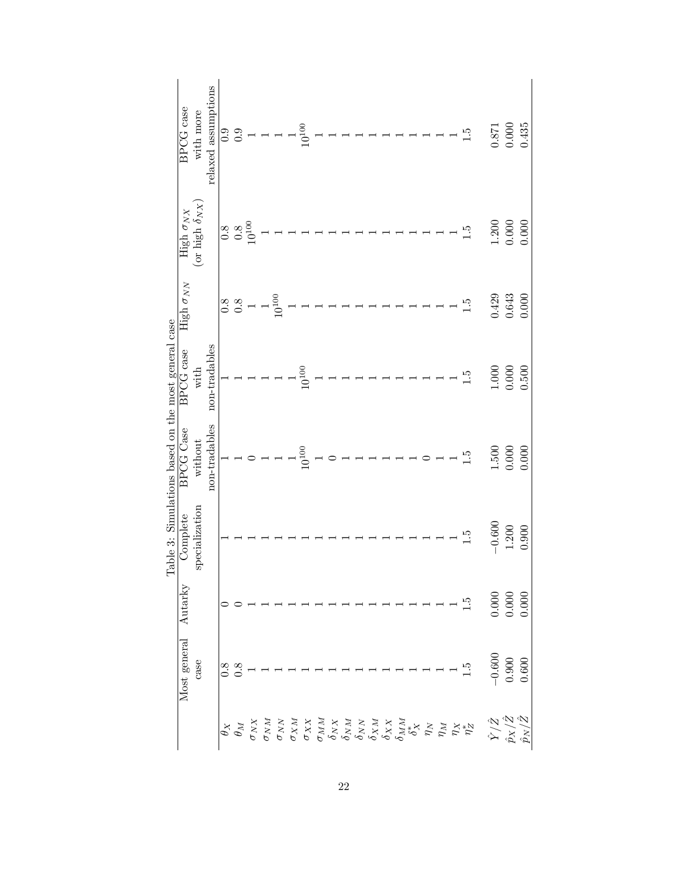|                                                                                          | Most general      | Autarky                                                | Complete       | BPCG Case                                 | <b>BPCG</b> case                                                                                                              | High $\sigma_{NN}$                               | High $\sigma_{NX}$       | <b>BPCG</b> case                                                                                                              |
|------------------------------------------------------------------------------------------|-------------------|--------------------------------------------------------|----------------|-------------------------------------------|-------------------------------------------------------------------------------------------------------------------------------|--------------------------------------------------|--------------------------|-------------------------------------------------------------------------------------------------------------------------------|
|                                                                                          | case              |                                                        | specialization | without                                   | with                                                                                                                          |                                                  | (or high $\delta_{NX}$   | with more                                                                                                                     |
|                                                                                          |                   |                                                        |                | non-tradables                             | $non-tradables$                                                                                                               |                                                  |                          | relaxed assumptions                                                                                                           |
|                                                                                          |                   |                                                        |                |                                           |                                                                                                                               |                                                  |                          | 0.9                                                                                                                           |
|                                                                                          | $\frac{8}{0.8}$   |                                                        |                |                                           |                                                                                                                               | $\begin{smallmatrix} 8 \\ 0.8 \end{smallmatrix}$ | $\frac{8}{0.8}$<br>0.300 | 0.9                                                                                                                           |
|                                                                                          |                   |                                                        |                |                                           |                                                                                                                               |                                                  |                          |                                                                                                                               |
|                                                                                          |                   |                                                        |                |                                           |                                                                                                                               |                                                  |                          |                                                                                                                               |
|                                                                                          |                   |                                                        |                |                                           |                                                                                                                               | $10^{100}$                                       |                          |                                                                                                                               |
|                                                                                          |                   |                                                        |                |                                           |                                                                                                                               |                                                  |                          |                                                                                                                               |
|                                                                                          |                   |                                                        |                | $10^{100}\,$                              | $10^{100}\,$                                                                                                                  |                                                  |                          | $10^{100}\,$                                                                                                                  |
|                                                                                          |                   |                                                        |                |                                           |                                                                                                                               |                                                  |                          |                                                                                                                               |
|                                                                                          |                   |                                                        |                |                                           |                                                                                                                               |                                                  |                          |                                                                                                                               |
|                                                                                          |                   |                                                        |                |                                           |                                                                                                                               |                                                  |                          |                                                                                                                               |
|                                                                                          |                   |                                                        |                |                                           |                                                                                                                               |                                                  |                          |                                                                                                                               |
|                                                                                          |                   |                                                        |                |                                           |                                                                                                                               |                                                  |                          |                                                                                                                               |
|                                                                                          |                   |                                                        |                |                                           |                                                                                                                               |                                                  |                          |                                                                                                                               |
|                                                                                          |                   |                                                        |                | $\frac{1}{1}$ $\frac{1}{1}$ $\frac{1}{1}$ |                                                                                                                               |                                                  |                          |                                                                                                                               |
|                                                                                          |                   |                                                        |                |                                           |                                                                                                                               |                                                  |                          |                                                                                                                               |
|                                                                                          |                   |                                                        |                |                                           | $\begin{tabular}{lllllllllllll} \toprule \textbf{0.15cm} & \textbf{0.15cm} & \textbf{0.15cm} & \textbf{0.15cm} \end{tabular}$ |                                                  |                          | $\begin{tabular}{lllllllllllll} \toprule \textbf{0.15cm} & \textbf{0.15cm} & \textbf{0.15cm} & \textbf{0.15cm} \end{tabular}$ |
|                                                                                          |                   |                                                        |                |                                           |                                                                                                                               |                                                  |                          |                                                                                                                               |
|                                                                                          |                   |                                                        |                |                                           |                                                                                                                               |                                                  |                          |                                                                                                                               |
|                                                                                          | $1.\overline{5}$  | $\frac{5}{1}$                                          | $\frac{5}{1}$  | 1.5                                       | $\frac{5}{1}$                                                                                                                 | $\ddot{1}$                                       | 1.5                      | $\frac{5}{1}$                                                                                                                 |
| $\begin{array}{c} \hat{Y}/\hat{Z} \\ \hat{p}_X/\hat{Z} \\ \hat{p}_N/\hat{Z} \end{array}$ |                   |                                                        | $-0.600$       | $1.500\,$                                 | 1.000                                                                                                                         | 0.429                                            | 1.200                    | 0.871                                                                                                                         |
|                                                                                          | $-0.600$<br>0.900 | $\begin{array}{c} 0.000 \\ 0.000 \\ 0.000 \end{array}$ | $1.200\,$      | 0.000                                     | 0.000                                                                                                                         | $\,0.643\,$                                      | 0.000                    | 0.000                                                                                                                         |
|                                                                                          | 0.600             |                                                        | 0.900          | 0.000                                     | 0.500                                                                                                                         | 0.000                                            | 0.000                    | 0.435                                                                                                                         |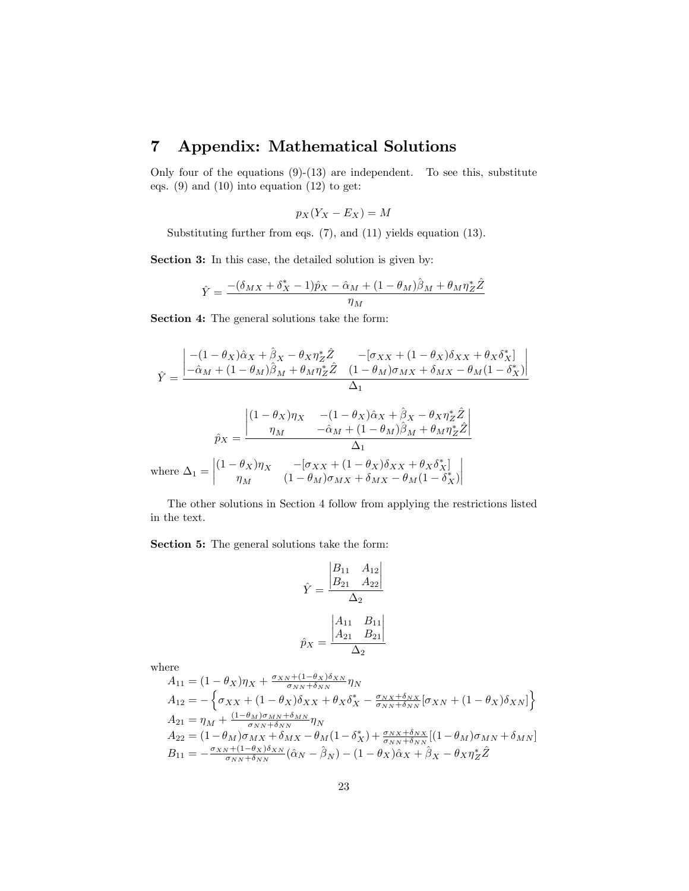### 7 Appendix: Mathematical Solutions

Only four of the equations  $(9)-(13)$  are independent. To see this, substitute eqs.  $(9)$  and  $(10)$  into equation  $(12)$  to get:

$$
p_X(Y_X - E_X) = M
$$

Substituting further from eqs. (7), and (11) yields equation (13).

Section 3: In this case, the detailed solution is given by:

$$
\hat{Y} = \frac{- (\delta_{MX} + \delta_X^* - 1)\hat{p}_X - \hat{\alpha}_M + (1 - \theta_M)\hat{\beta}_M + \theta_M \eta_Z^* \hat{Z}}{\eta_M}
$$

Section 4: The general solutions take the form:

$$
\hat{Y} = \frac{\begin{vmatrix} -(1 - \theta_X)\hat{\alpha}_X + \hat{\beta}_X - \theta_X \eta_Z^* \hat{Z} & -[\sigma_{XX} + (1 - \theta_X)\delta_{XX} + \theta_X \delta_X^*] \\ -\hat{\alpha}_M + (1 - \theta_M)\hat{\beta}_M + \theta_M \eta_Z^* \hat{Z} & (1 - \theta_M)\sigma_{MX} + \delta_{MX} - \theta_M(1 - \delta_X^*) \end{vmatrix}}{\Delta_1}
$$
\n
$$
\hat{p}_X = \frac{\begin{vmatrix} (1 - \theta_X)\eta_X & -(1 - \theta_X)\hat{\alpha}_X + \hat{\beta}_X - \theta_X \eta_Z^* \hat{Z} \\ \eta_M & -\hat{\alpha}_M + (1 - \theta_M)\hat{\beta}_M + \theta_M \eta_Z^* \hat{Z} \end{vmatrix}}{\Delta_1}
$$
\nwhere  $\Delta_1 = \begin{vmatrix} (1 - \theta_X)\eta_X & -[\sigma_{XX} + (1 - \theta_X)\delta_{XX} + \theta_X \delta_X^*] \\ \eta_M & (1 - \theta_M)\sigma_{MX} + \delta_{MX} - \theta_M(1 - \delta_X^*) \end{vmatrix}$ 

The other solutions in Section 4 follow from applying the restrictions listed in the text.

Section 5: The general solutions take the form:

$$
\hat{Y} = \frac{\begin{vmatrix} B_{11} & A_{12} \\ B_{21} & A_{22} \end{vmatrix}}{\Delta_2}
$$

$$
\hat{p}_X = \frac{\begin{vmatrix} A_{11} & B_{11} \\ A_{21} & B_{21} \end{vmatrix}}{\Delta_2}
$$

where

$$
A_{11} = (1 - \theta_X)\eta_X + \frac{\sigma_{XN} + (1 - \theta_X)\delta_{XN}}{\sigma_{NN} + \delta_{NN}} \eta_N
$$
  
\n
$$
A_{12} = -\left\{\sigma_{XX} + (1 - \theta_X)\delta_{XX} + \theta_X\delta_X^* - \frac{\sigma_{NX} + \delta_{NX}}{\sigma_{NN} + \delta_{NN}}[\sigma_{XN} + (1 - \theta_X)\delta_{XN}]\right\}
$$
  
\n
$$
A_{21} = \eta_M + \frac{(1 - \theta_M)\sigma_{MN} + \delta_{MN}}{\sigma_{NN} + \delta_{NN}} \eta_N
$$
  
\n
$$
A_{22} = (1 - \theta_M)\sigma_{MX} + \delta_{MX} - \theta_M(1 - \delta_X^*) + \frac{\sigma_{NX} + \delta_{NX}}{\sigma_{NN} + \delta_{NN}}[(1 - \theta_M)\sigma_{MN} + \delta_{MN}]
$$
  
\n
$$
B_{11} = -\frac{\sigma_{XN} + (1 - \theta_X)\delta_{XN}}{\sigma_{NN} + \delta_{NN}}(\hat{\alpha}_N - \hat{\beta}_N) - (1 - \theta_X)\hat{\alpha}_X + \hat{\beta}_X - \theta_X\eta_Z^* \hat{Z}
$$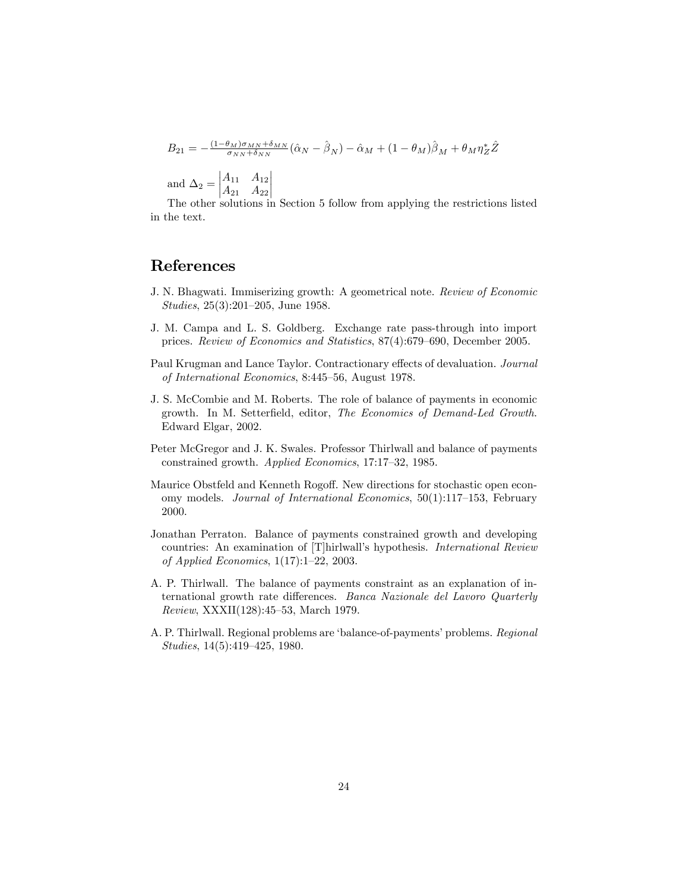$$
B_{21} = -\frac{(1-\theta_M)\sigma_{MN} + \delta_{MN}}{\sigma_{NN} + \delta_{NN}} (\hat{\alpha}_N - \hat{\beta}_N) - \hat{\alpha}_M + (1-\theta_M)\hat{\beta}_M + \theta_M \eta_Z^* \hat{Z}
$$
  
and  $\Delta_2 = \begin{vmatrix} A_{11} & A_{12} \\ A_{21} & A_{22} \end{vmatrix}$ 

The other solutions in Section 5 follow from applying the restrictions listed in the text.

#### References

- J. N. Bhagwati. Immiserizing growth: A geometrical note. Review of Economic Studies,  $25(3):201-205$ , June 1958.
- J. M. Campa and L. S. Goldberg. Exchange rate pass-through into import prices. Review of Economics and Statistics, 87(4):679–690, December 2005.
- Paul Krugman and Lance Taylor. Contractionary effects of devaluation. Journal of International Economics, 8:445-56, August 1978.
- J. S. McCombie and M. Roberts. The role of balance of payments in economic growth. In M. Setterfield, editor, The Economics of Demand-Led Growth. Edward Elgar, 2002.
- Peter McGregor and J. K. Swales. Professor Thirlwall and balance of payments constrained growth. Applied Economics, 17:17-32, 1985.
- Maurice Obstfeld and Kenneth Rogoff. New directions for stochastic open economy models. Journal of International Economics,  $50(1):117-153$ , February 2000.
- Jonathan Perraton. Balance of payments constrained growth and developing countries: An examination of [T]hirlwall's hypothesis. International Review of Applied Economics,  $1(17):1-22$ , 2003.
- A. P. Thirlwall. The balance of payments constraint as an explanation of international growth rate differences. Banca Nazionale del Lavoro Quarterly  $Review, XXXII(128):45–53, March 1979.$
- A. P. Thirlwall. Regional problems are 'balance-of-payments' problems. Regional  $Studies, 14(5):419-425, 1980.$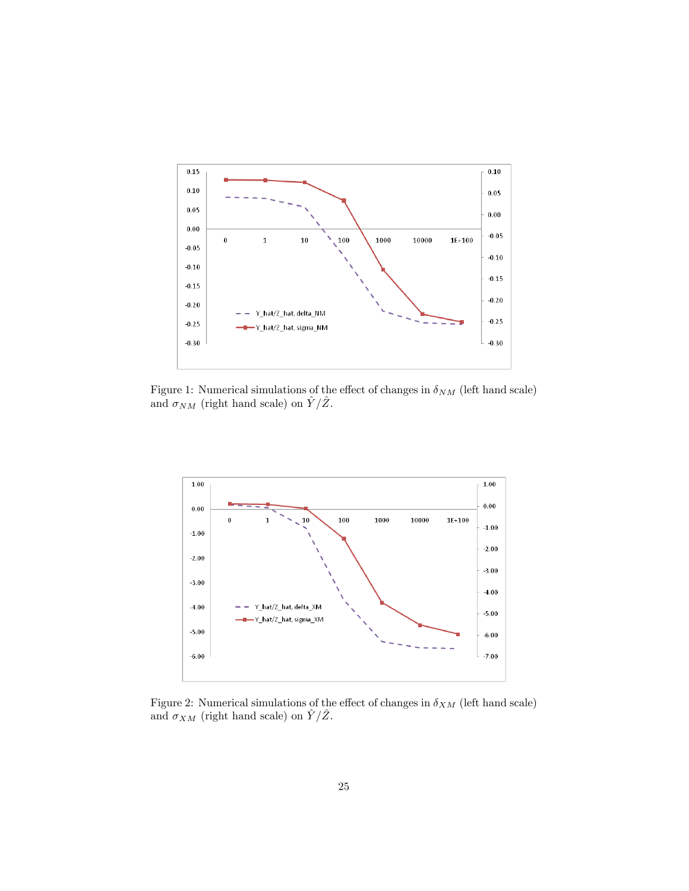

Figure 1: Numerical simulations of the effect of changes in  $\delta_{NM}$  (left hand scale) and  $\sigma_{NM}$  (right hand scale) on  $\hat{Y}/\hat{Z}$ .



Figure 2: Numerical simulations of the effect of changes in  $\delta_{XM}$  (left hand scale) and  $\sigma_{XM}$  (right hand scale) on  $\hat{Y}/\hat{Z}$ .